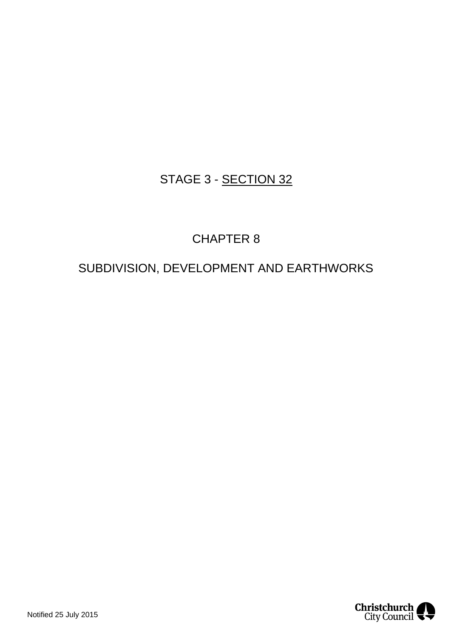# STAGE 3 - SECTION 32

# CHAPTER 8

# SUBDIVISION, DEVELOPMENT AND EARTHWORKS

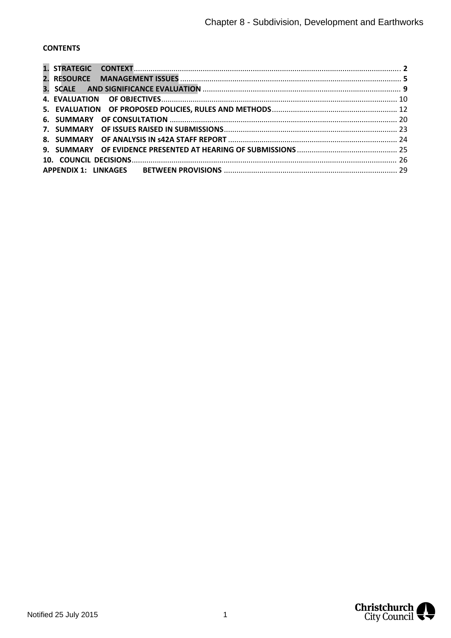## **CONTENTS**

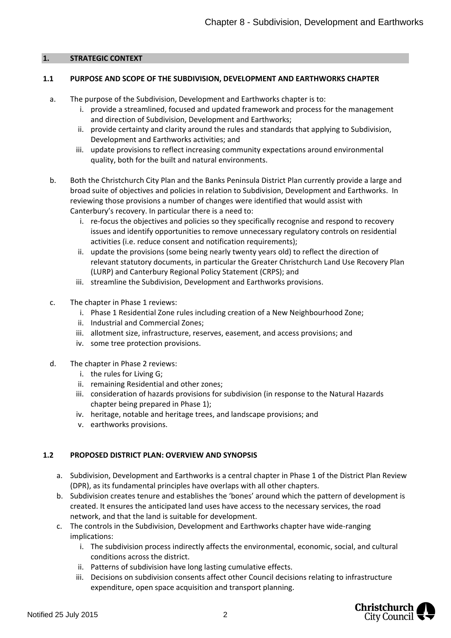#### <span id="page-2-0"></span>**1. STRATEGIC CONTEXT**

#### **1.1 PURPOSE AND SCOPE OF THE SUBDIVISION, DEVELOPMENT AND EARTHWORKS CHAPTER**

- a. The purpose of the Subdivision, Development and Earthworks chapter is to:
	- i. provide a streamlined, focused and updated framework and process for the management and direction of Subdivision, Development and Earthworks;
	- ii. provide certainty and clarity around the rules and standards that applying to Subdivision, Development and Earthworks activities; and
	- iii. update provisions to reflect increasing community expectations around environmental quality, both for the built and natural environments.
- b. Both the Christchurch City Plan and the Banks Peninsula District Plan currently provide a large and broad suite of objectives and policies in relation to Subdivision, Development and Earthworks. In reviewing those provisions a number of changes were identified that would assist with Canterbury's recovery. In particular there is a need to:
	- i. re-focus the objectives and policies so they specifically recognise and respond to recovery issues and identify opportunities to remove unnecessary regulatory controls on residential activities (i.e. reduce consent and notification requirements);
	- ii. update the provisions (some being nearly twenty years old) to reflect the direction of relevant statutory documents, in particular the Greater Christchurch Land Use Recovery Plan (LURP) and Canterbury Regional Policy Statement (CRPS); and
	- iii. streamline the Subdivision, Development and Earthworks provisions.
- c. The chapter in Phase 1 reviews:
	- i. Phase 1 Residential Zone rules including creation of a New Neighbourhood Zone;
	- ii. Industrial and Commercial Zones;
	- iii. allotment size, infrastructure, reserves, easement, and access provisions; and
	- iv. some tree protection provisions.
- d. The chapter in Phase 2 reviews:
	- i. the rules for Living G;
	- ii. remaining Residential and other zones;
	- iii. consideration of hazards provisions for subdivision (in response to the Natural Hazards chapter being prepared in Phase 1);
	- iv. heritage, notable and heritage trees, and landscape provisions; and
	- v. earthworks provisions.

#### **1.2 PROPOSED DISTRICT PLAN: OVERVIEW AND SYNOPSIS**

- a. Subdivision, Development and Earthworks is a central chapter in Phase 1 of the District Plan Review (DPR), as its fundamental principles have overlaps with all other chapters.
- b. Subdivision creates tenure and establishes the 'bones' around which the pattern of development is created. It ensures the anticipated land uses have access to the necessary services, the road network, and that the land is suitable for development.
- c. The controls in the Subdivision, Development and Earthworks chapter have wide-ranging implications:
	- i. The subdivision process indirectly affects the environmental, economic, social, and cultural conditions across the district.
	- ii. Patterns of subdivision have long lasting cumulative effects.
	- iii. Decisions on subdivision consents affect other Council decisions relating to infrastructure expenditure, open space acquisition and transport planning.

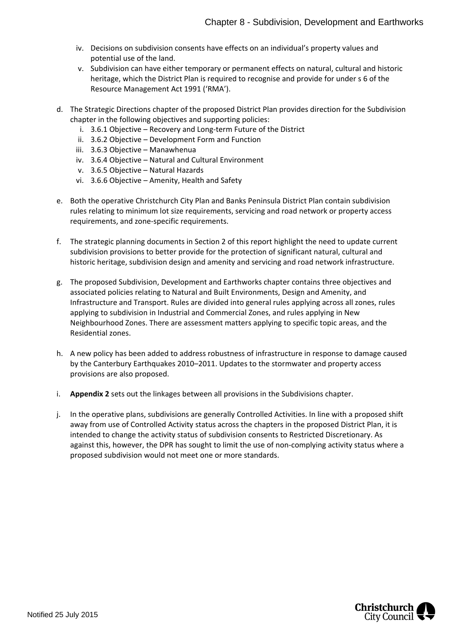- iv. Decisions on subdivision consents have effects on an individual's property values and potential use of the land.
- v. Subdivision can have either temporary or permanent effects on natural, cultural and historic heritage, which the District Plan is required to recognise and provide for under s 6 of the Resource Management Act 1991 ('RMA').
- d. The Strategic Directions chapter of the proposed District Plan provides direction for the Subdivision chapter in the following objectives and supporting policies:
	- i. 3.6.1 Objective Recovery and Long-term Future of the District
	- ii. 3.6.2 Objective Development Form and Function
	- iii. 3.6.3 Objective Manawhenua
	- iv. 3.6.4 Objective Natural and Cultural Environment
	- v. 3.6.5 Objective Natural Hazards
	- vi. 3.6.6 Objective Amenity, Health and Safety
- e. Both the operative Christchurch City Plan and Banks Peninsula District Plan contain subdivision rules relating to minimum lot size requirements, servicing and road network or property access requirements, and zone-specific requirements.
- f. The strategic planning documents in Section 2 of this report highlight the need to update current subdivision provisions to better provide for the protection of significant natural, cultural and historic heritage, subdivision design and amenity and servicing and road network infrastructure.
- g. The proposed Subdivision, Development and Earthworks chapter contains three objectives and associated policies relating to Natural and Built Environments, Design and Amenity, and Infrastructure and Transport. Rules are divided into general rules applying across all zones, rules applying to subdivision in Industrial and Commercial Zones, and rules applying in New Neighbourhood Zones. There are assessment matters applying to specific topic areas, and the Residential zones.
- h. A new policy has been added to address robustness of infrastructure in response to damage caused by the Canterbury Earthquakes 2010–2011. Updates to the stormwater and property access provisions are also proposed.
- i. **Appendix 2** sets out the linkages between all provisions in the Subdivisions chapter.
- j. In the operative plans, subdivisions are generally Controlled Activities. In line with a proposed shift away from use of Controlled Activity status across the chapters in the proposed District Plan, it is intended to change the activity status of subdivision consents to Restricted Discretionary. As against this, however, the DPR has sought to limit the use of non-complying activity status where a proposed subdivision would not meet one or more standards.

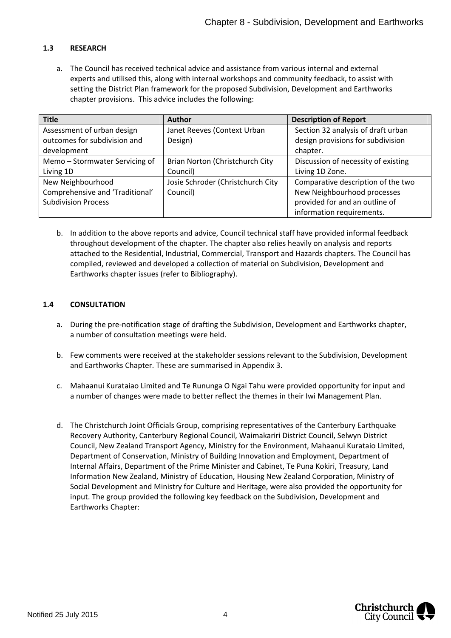### **1.3 RESEARCH**

a. The Council has received technical advice and assistance from various internal and external experts and utilised this, along with internal workshops and community feedback, to assist with setting the District Plan framework for the proposed Subdivision, Development and Earthworks chapter provisions. This advice includes the following:

| <b>Title</b>                    | <b>Author</b>                     | <b>Description of Report</b>        |
|---------------------------------|-----------------------------------|-------------------------------------|
| Assessment of urban design      | Janet Reeves (Context Urban       | Section 32 analysis of draft urban  |
| outcomes for subdivision and    | Design)                           | design provisions for subdivision   |
| development                     |                                   | chapter.                            |
| Memo - Stormwater Servicing of  | Brian Norton (Christchurch City   | Discussion of necessity of existing |
| Living 1D                       | Council)                          | Living 1D Zone.                     |
| New Neighbourhood               | Josie Schroder (Christchurch City | Comparative description of the two  |
| Comprehensive and 'Traditional' | Council)                          | New Neighbourhood processes         |
| <b>Subdivision Process</b>      |                                   | provided for and an outline of      |
|                                 |                                   | information requirements.           |

b. In addition to the above reports and advice, Council technical staff have provided informal feedback throughout development of the chapter. The chapter also relies heavily on analysis and reports attached to the Residential, Industrial, Commercial, Transport and Hazards chapters. The Council has compiled, reviewed and developed a collection of material on Subdivision, Development and Earthworks chapter issues (refer to Bibliography).

#### **1.4 CONSULTATION**

- a. During the pre-notification stage of drafting the Subdivision, Development and Earthworks chapter, a number of consultation meetings were held.
- b. Few comments were received at the stakeholder sessions relevant to the Subdivision, Development and Earthworks Chapter. These are summarised in Appendix 3.
- c. Mahaanui Kurataiao Limited and Te Rununga O Ngai Tahu were provided opportunity for input and a number of changes were made to better reflect the themes in their Iwi Management Plan.
- d. The Christchurch Joint Officials Group, comprising representatives of the Canterbury Earthquake Recovery Authority, Canterbury Regional Council, Waimakariri District Council, Selwyn District Council, New Zealand Transport Agency, Ministry for the Environment, Mahaanui Kurataio Limited, Department of Conservation, Ministry of Building Innovation and Employment, Department of Internal Affairs, Department of the Prime Minister and Cabinet, Te Puna Kokiri, Treasury, Land Information New Zealand, Ministry of Education, Housing New Zealand Corporation, Ministry of Social Development and Ministry for Culture and Heritage, were also provided the opportunity for input. The group provided the following key feedback on the Subdivision, Development and Earthworks Chapter:

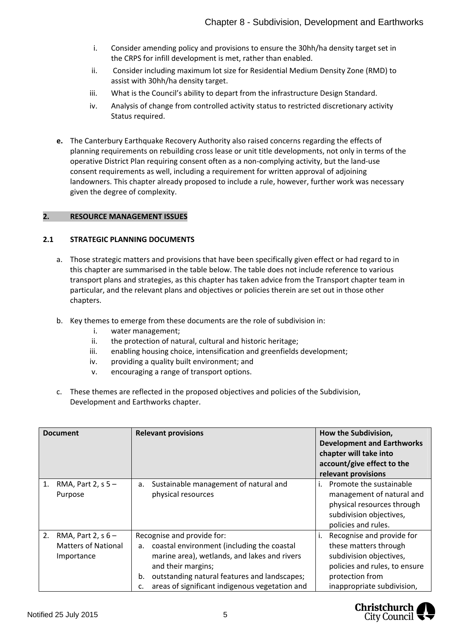- i. Consider amending policy and provisions to ensure the 30hh/ha density target set in the CRPS for infill development is met, rather than enabled.
- ii. Consider including maximum lot size for Residential Medium Density Zone (RMD) to assist with 30hh/ha density target.
- iii. What is the Council's ability to depart from the infrastructure Design Standard.
- iv. Analysis of change from controlled activity status to restricted discretionary activity Status required.
- **e.** The Canterbury Earthquake Recovery Authority also raised concerns regarding the effects of planning requirements on rebuilding cross lease or unit title developments, not only in terms of the operative District Plan requiring consent often as a non-complying activity, but the land-use consent requirements as well, including a requirement for written approval of adjoining landowners. This chapter already proposed to include a rule, however, further work was necessary given the degree of complexity.

#### <span id="page-5-0"></span>**2. RESOURCE MANAGEMENT ISSUES**

#### **2.1 STRATEGIC PLANNING DOCUMENTS**

- a. Those strategic matters and provisions that have been specifically given effect or had regard to in this chapter are summarised in the table below. The table does not include reference to various transport plans and strategies, as this chapter has taken advice from the Transport chapter team in particular, and the relevant plans and objectives or policies therein are set out in those other chapters.
- b. Key themes to emerge from these documents are the role of subdivision in:
	- i. water management;
	- ii. the protection of natural, cultural and historic heritage;
	- iii. enabling housing choice, intensification and greenfields development;
	- iv. providing a quality built environment; and
	- v. encouraging a range of transport options.
- c. These themes are reflected in the proposed objectives and policies of the Subdivision, Development and Earthworks chapter.

| <b>Document</b> |                                                                  | <b>Relevant provisions</b>                                                                                                                                                                                                                                      |    | How the Subdivision,<br><b>Development and Earthworks</b><br>chapter will take into<br>account/give effect to the<br>relevant provisions                        |
|-----------------|------------------------------------------------------------------|-----------------------------------------------------------------------------------------------------------------------------------------------------------------------------------------------------------------------------------------------------------------|----|-----------------------------------------------------------------------------------------------------------------------------------------------------------------|
| 1.              | RMA, Part 2, $s$ 5 –<br>Purpose                                  | Sustainable management of natural and<br>а.<br>physical resources                                                                                                                                                                                               | ı. | Promote the sustainable<br>management of natural and<br>physical resources through<br>subdivision objectives,<br>policies and rules.                            |
| 2.              | RMA, Part 2, $s$ 6 –<br><b>Matters of National</b><br>Importance | Recognise and provide for:<br>a. coastal environment (including the coastal<br>marine area), wetlands, and lakes and rivers<br>and their margins;<br>outstanding natural features and landscapes;<br>b.<br>areas of significant indigenous vegetation and<br>c. | i. | Recognise and provide for<br>these matters through<br>subdivision objectives,<br>policies and rules, to ensure<br>protection from<br>inappropriate subdivision, |

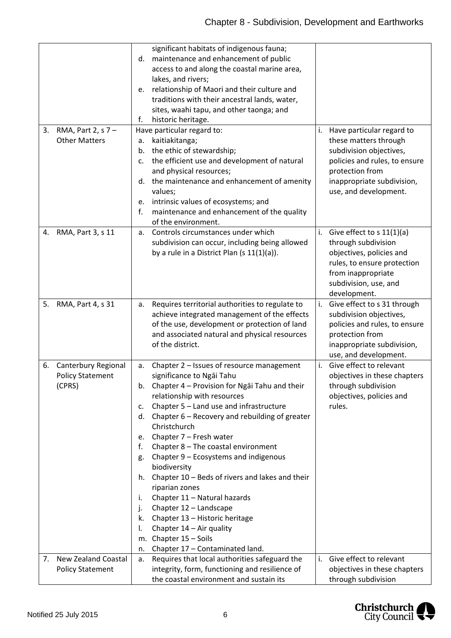|    |                            |    | significant habitats of indigenous fauna;        |    |                                |
|----|----------------------------|----|--------------------------------------------------|----|--------------------------------|
|    |                            | d. | maintenance and enhancement of public            |    |                                |
|    |                            |    | access to and along the coastal marine area,     |    |                                |
|    |                            |    | lakes, and rivers;                               |    |                                |
|    |                            | е. | relationship of Maori and their culture and      |    |                                |
|    |                            |    | traditions with their ancestral lands, water,    |    |                                |
|    |                            |    | sites, waahi tapu, and other taonga; and         |    |                                |
|    |                            |    |                                                  |    |                                |
|    |                            | f. | historic heritage.                               |    |                                |
| 3. | RMA, Part 2, s 7 -         |    | Have particular regard to:                       | i. | Have particular regard to      |
|    | <b>Other Matters</b>       | a. | kaitiakitanga;                                   |    | these matters through          |
|    |                            | b. | the ethic of stewardship;                        |    | subdivision objectives,        |
|    |                            | c. | the efficient use and development of natural     |    | policies and rules, to ensure  |
|    |                            |    | and physical resources;                          |    | protection from                |
|    |                            | d. | the maintenance and enhancement of amenity       |    | inappropriate subdivision,     |
|    |                            |    | values;                                          |    | use, and development.          |
|    |                            | e. | intrinsic values of ecosystems; and              |    |                                |
|    |                            | f. | maintenance and enhancement of the quality       |    |                                |
|    |                            |    | of the environment.                              |    |                                |
| 4. | RMA, Part 3, s 11          | a. | Controls circumstances under which               |    | i. Give effect to $s 11(1)(a)$ |
|    |                            |    | subdivision can occur, including being allowed   |    | through subdivision            |
|    |                            |    | by a rule in a District Plan (s $11(1)(a)$ ).    |    | objectives, policies and       |
|    |                            |    |                                                  |    | rules, to ensure protection    |
|    |                            |    |                                                  |    | from inappropriate             |
|    |                            |    |                                                  |    | subdivision, use, and          |
|    |                            |    |                                                  |    | development.                   |
| 5. | RMA, Part 4, s 31          | a. | Requires territorial authorities to regulate to  |    | i. Give effect to s 31 through |
|    |                            |    | achieve integrated management of the effects     |    | subdivision objectives,        |
|    |                            |    | of the use, development or protection of land    |    | policies and rules, to ensure  |
|    |                            |    |                                                  |    |                                |
|    |                            |    | and associated natural and physical resources    |    | protection from                |
|    |                            |    | of the district.                                 |    | inappropriate subdivision,     |
|    |                            |    |                                                  |    | use, and development.          |
| 6. | Canterbury Regional        | а. | Chapter 2 - Issues of resource management        | i. | Give effect to relevant        |
|    | <b>Policy Statement</b>    |    | significance to Ngai Tahu                        |    | objectives in these chapters   |
|    | (CPRS)                     |    | b. Chapter 4 - Provision for Ngai Tahu and their |    | through subdivision            |
|    |                            |    | relationship with resources                      |    | objectives, policies and       |
|    |                            | c. | Chapter 5 - Land use and infrastructure          |    | rules.                         |
|    |                            | d. | Chapter 6 - Recovery and rebuilding of greater   |    |                                |
|    |                            |    | Christchurch                                     |    |                                |
|    |                            | e. | Chapter 7 - Fresh water                          |    |                                |
|    |                            | f. | Chapter 8 - The coastal environment              |    |                                |
|    |                            | g. | Chapter 9 - Ecosystems and indigenous            |    |                                |
|    |                            |    | biodiversity                                     |    |                                |
|    |                            | h. | Chapter 10 - Beds of rivers and lakes and their  |    |                                |
|    |                            |    | riparian zones                                   |    |                                |
|    |                            | i. | Chapter 11 - Natural hazards                     |    |                                |
|    |                            | j. | Chapter 12 - Landscape                           |    |                                |
|    |                            | k. | Chapter 13 - Historic heritage                   |    |                                |
|    |                            | I. | Chapter 14 - Air quality                         |    |                                |
|    |                            | m. | Chapter 15 - Soils                               |    |                                |
|    |                            | n. | Chapter 17 - Contaminated land.                  |    |                                |
| 7. | <b>New Zealand Coastal</b> |    | Requires that local authorities safeguard the    |    | i. Give effect to relevant     |
|    |                            | а. |                                                  |    |                                |
|    | <b>Policy Statement</b>    |    | integrity, form, functioning and resilience of   |    | objectives in these chapters   |
|    |                            |    | the coastal environment and sustain its          |    | through subdivision            |

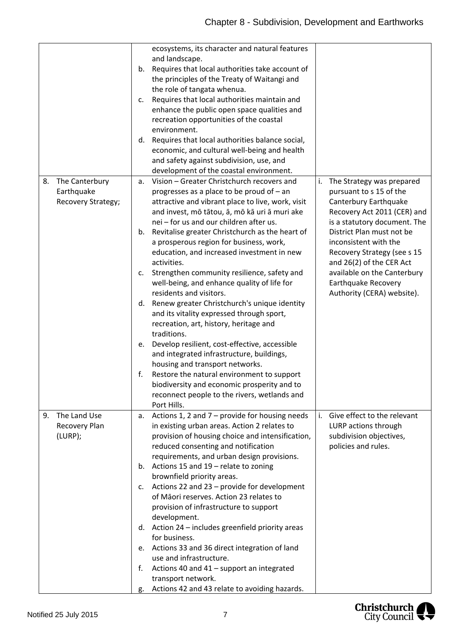|                    | ecosystems, its character and natural features         |                                   |
|--------------------|--------------------------------------------------------|-----------------------------------|
|                    | and landscape.                                         |                                   |
|                    | Requires that local authorities take account of<br>b.  |                                   |
|                    | the principles of the Treaty of Waitangi and           |                                   |
|                    | the role of tangata whenua.                            |                                   |
|                    | Requires that local authorities maintain and<br>c.     |                                   |
|                    | enhance the public open space qualities and            |                                   |
|                    | recreation opportunities of the coastal                |                                   |
|                    | environment.                                           |                                   |
|                    | d. Requires that local authorities balance social,     |                                   |
|                    | economic, and cultural well-being and health           |                                   |
|                    | and safety against subdivision, use, and               |                                   |
|                    | development of the coastal environment.                |                                   |
| 8. The Canterbury  | Vision - Greater Christchurch recovers and<br>а.       | The Strategy was prepared<br>i.   |
| Earthquake         | progresses as a place to be proud of $-$ an            | pursuant to s 15 of the           |
| Recovery Strategy; | attractive and vibrant place to live, work, visit      | Canterbury Earthquake             |
|                    | and invest, mō tātou, ā, mō kā uri ā muri ake          | Recovery Act 2011 (CER) and       |
|                    | nei - for us and our children after us.                | is a statutory document. The      |
|                    | Revitalise greater Christchurch as the heart of<br>b.  | District Plan must not be         |
|                    | a prosperous region for business, work,                | inconsistent with the             |
|                    | education, and increased investment in new             | Recovery Strategy (see s 15       |
|                    | activities.                                            | and 26(2) of the CER Act          |
|                    | Strengthen community resilience, safety and<br>c.      | available on the Canterbury       |
|                    | well-being, and enhance quality of life for            | Earthquake Recovery               |
|                    | residents and visitors.                                | Authority (CERA) website).        |
|                    | d. Renew greater Christchurch's unique identity        |                                   |
|                    | and its vitality expressed through sport,              |                                   |
|                    | recreation, art, history, heritage and                 |                                   |
|                    | traditions.                                            |                                   |
|                    | Develop resilient, cost-effective, accessible<br>e.    |                                   |
|                    | and integrated infrastructure, buildings,              |                                   |
|                    | housing and transport networks.                        |                                   |
|                    | f.<br>Restore the natural environment to support       |                                   |
|                    | biodiversity and economic prosperity and to            |                                   |
|                    | reconnect people to the rivers, wetlands and           |                                   |
|                    | Port Hills.                                            |                                   |
| The Land Use<br>9. | Actions 1, 2 and $7$ – provide for housing needs<br>а. | i.<br>Give effect to the relevant |
| Recovery Plan      | in existing urban areas. Action 2 relates to           | LURP actions through              |
| (LURP);            | provision of housing choice and intensification,       | subdivision objectives,           |
|                    | reduced consenting and notification                    | policies and rules.               |
|                    | requirements, and urban design provisions.             |                                   |
|                    | b. Actions 15 and $19$ – relate to zoning              |                                   |
|                    | brownfield priority areas.                             |                                   |
|                    | Actions 22 and 23 - provide for development<br>c.      |                                   |
|                    | of Māori reserves. Action 23 relates to                |                                   |
|                    | provision of infrastructure to support                 |                                   |
|                    | development.                                           |                                   |
|                    | d. Action 24 - includes greenfield priority areas      |                                   |
|                    | for business.                                          |                                   |
|                    | Actions 33 and 36 direct integration of land<br>e.     |                                   |
|                    | use and infrastructure.                                |                                   |
|                    | Actions 40 and 41 - support an integrated<br>f.        |                                   |
|                    | transport network.                                     |                                   |
|                    | Actions 42 and 43 relate to avoiding hazards.<br>g.    |                                   |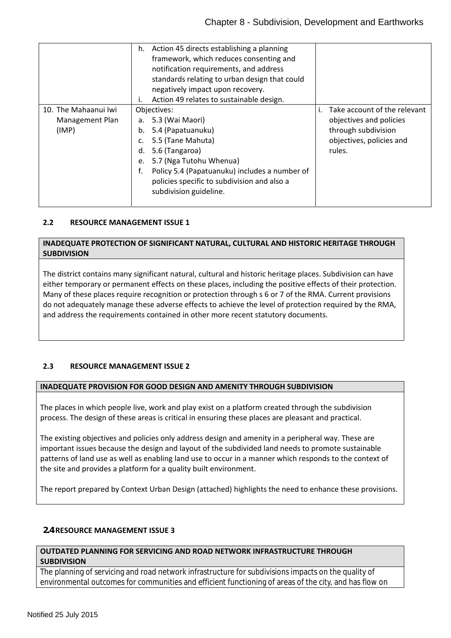|                      | h. Action 45 directs establishing a planning        |                                 |
|----------------------|-----------------------------------------------------|---------------------------------|
|                      | framework, which reduces consenting and             |                                 |
|                      | notification requirements, and address              |                                 |
|                      | standards relating to urban design that could       |                                 |
|                      | negatively impact upon recovery.                    |                                 |
|                      | Action 49 relates to sustainable design.<br>۱.      |                                 |
| 10. The Mahaanui Iwi | Objectives:                                         | i. Take account of the relevant |
| Management Plan      | 5.3 (Wai Maori)<br>а.                               | objectives and policies         |
| (IMP)                | 5.4 (Papatuanuku)<br>b.                             | through subdivision             |
|                      | 5.5 (Tane Mahuta)<br>c.                             | objectives, policies and        |
|                      | 5.6 (Tangaroa)<br>d.                                | rules.                          |
|                      | 5.7 (Nga Tutohu Whenua)<br>e.                       |                                 |
|                      | f.<br>Policy 5.4 (Papatuanuku) includes a number of |                                 |
|                      | policies specific to subdivision and also a         |                                 |
|                      | subdivision guideline.                              |                                 |
|                      |                                                     |                                 |

#### <span id="page-8-0"></span>**2.2 RESOURCE MANAGEMENT ISSUE 1**

#### **INADEQUATE PROTECTION OF SIGNIFICANT NATURAL, CULTURAL AND HISTORIC HERITAGE THROUGH SUBDIVISION**

The district contains many significant natural, cultural and historic heritage places. Subdivision can have either temporary or permanent effects on these places, including the positive effects of their protection. Many of these places require recognition or protection through s 6 or 7 of the RMA. Current provisions do not adequately manage these adverse effects to achieve the level of protection required by the RMA, and address the requirements contained in other more recent statutory documents.

#### **2.3 RESOURCE MANAGEMENT ISSUE 2**

#### **INADEQUATE PROVISION FOR GOOD DESIGN AND AMENITY THROUGH SUBDIVISION**

The places in which people live, work and play exist on a platform created through the subdivision process. The design of these areas is critical in ensuring these places are pleasant and practical.

The existing objectives and policies only address design and amenity in a peripheral way. These are important issues because the design and layout of the subdivided land needs to promote sustainable patterns of land use as well as enabling land use to occur in a manner which responds to the context of the site and provides a platform for a quality built environment.

The report prepared by Context Urban Design (attached) highlights the need to enhance these provisions.

#### **2.4 RESOURCE MANAGEMENT ISSUE 3**

#### **OUTDATED PLANNING FOR SERVICING AND ROAD NETWORK INFRASTRUCTURE THROUGH SUBDIVISION**

The planning of servicing and road network infrastructure for subdivisions impacts on the quality of environmental outcomes for communities and efficient functioning of areas of the city, and has flow on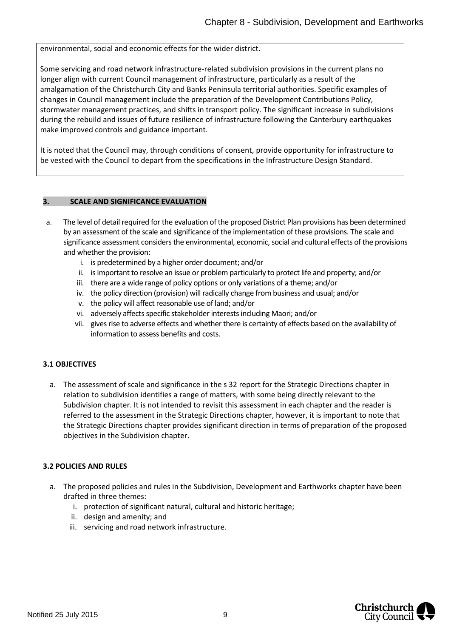environmental, social and economic effects for the wider district.

Some servicing and road network infrastructure-related subdivision provisions in the current plans no longer align with current Council management of infrastructure, particularly as a result of the amalgamation of the Christchurch City and Banks Peninsula territorial authorities. Specific examples of changes in Council management include the preparation of the Development Contributions Policy, stormwater management practices, and shifts in transport policy. The significant increase in subdivisions during the rebuild and issues of future resilience of infrastructure following the Canterbury earthquakes make improved controls and guidance important.

It is noted that the Council may, through conditions of consent, provide opportunity for infrastructure to be vested with the Council to depart from the specifications in the Infrastructure Design Standard.

#### **3. SCALE AND SIGNIFICANCE EVALUATION**

- a. The level of detail required for the evaluation of the proposed District Plan provisions has been determined by an assessment of the scale and significance of the implementation of these provisions. The scale and significance assessment considers the environmental, economic, social and cultural effects of the provisions and whether the provision:
	- i. is predetermined by a higher order document; and/or
	- ii. is important to resolve an issue or problem particularly to protect life and property; and/or
	- iii. there are a wide range of policy options or only variations of a theme; and/or
	- iv. the policy direction (provision) will radically change from business and usual; and/or
	- v. the policy will affect reasonable use of land; and/or
	- vi. adversely affects specific stakeholder interests including Maori; and/or
	- vii. gives rise to adverse effects and whether there is certainty of effects based on the availability of information to assess benefits and costs.

#### **3.1 OBJECTIVES**

a. The assessment of scale and significance in the s 32 report for the Strategic Directions chapter in relation to subdivision identifies a range of matters, with some being directly relevant to the Subdivision chapter. It is not intended to revisit this assessment in each chapter and the reader is referred to the assessment in the Strategic Directions chapter, however, it is important to note that the Strategic Directions chapter provides significant direction in terms of preparation of the proposed objectives in the Subdivision chapter.

#### **3.2 POLICIES AND RULES**

- a. The proposed policies and rules in the Subdivision, Development and Earthworks chapter have been drafted in three themes:
	- i. protection of significant natural, cultural and historic heritage;
	- ii. design and amenity; and
	- iii. servicing and road network infrastructure.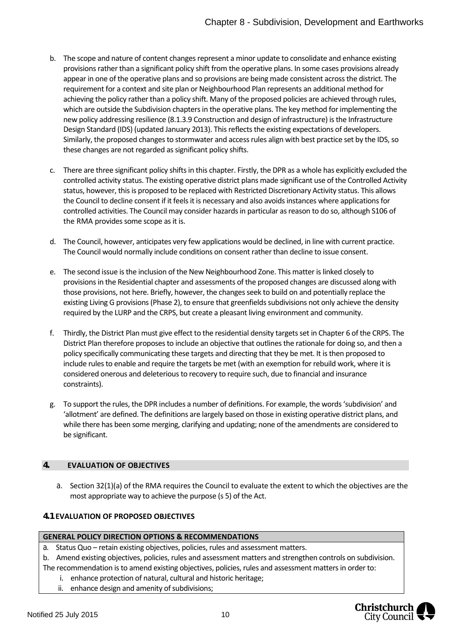- b. The scope and nature of content changes represent a minor update to consolidate and enhance existing provisions rather than a significant policy shift from the operative plans. In some cases provisions already appear in one of the operative plans and so provisions are being made consistent across the district. The requirement for a context and site plan or Neighbourhood Plan represents an additional method for achieving the policy rather than a policy shift. Many of the proposed policies are achieved through rules, which are outside the Subdivision chapters in the operative plans. The key method for implementing the new policy addressing resilience (8.1.3.9 Construction and design of infrastructure) is the Infrastructure Design Standard (IDS) (updated January 2013). This reflects the existing expectations of developers. Similarly, the proposed changes to stormwater and access rules align with best practice set by the IDS, so these changes are not regarded as significant policy shifts.
- c. There are three significant policy shifts in this chapter. Firstly, the DPR as a whole has explicitly excluded the controlled activity status. The existing operative district plans made significant use of the Controlled Activity status, however, this is proposed to be replaced with Restricted Discretionary Activity status. This allows the Council to decline consent if it feels it is necessary and also avoids instances where applications for controlled activities. The Council may consider hazards in particular as reason to do so, although S106 of the RMA provides some scope as it is.
- d. The Council, however, anticipates very few applications would be declined, in line with current practice. The Council would normally include conditions on consent rather than decline to issue consent.
- e. The second issue is the inclusion of the New Neighbourhood Zone. This matter is linked closely to provisions in the Residential chapter and assessments of the proposed changes are discussed along with those provisions, not here. Briefly, however, the changes seek to build on and potentially replace the existing Living G provisions (Phase 2), to ensure that greenfields subdivisions not only achieve the density required by the LURP and the CRPS, but create a pleasant living environment and community.
- f. Thirdly, the District Plan must give effect to the residential density targets set in Chapter 6 of the CRPS. The District Plan therefore proposes to include an objective that outlines the rationale for doing so, and then a policy specifically communicating these targets and directing that they be met. It is then proposed to include rules to enable and require the targets be met (with an exemption for rebuild work, where it is considered onerous and deleterious to recovery to require such, due to financial and insurance constraints).
- g. To support the rules, the DPR includes a number of definitions. For example, the words 'subdivision' and 'allotment' are defined. The definitions are largely based on those in existing operative district plans, and while there has been some merging, clarifying and updating; none of the amendments are considered to be significant.

#### <span id="page-10-0"></span>**4. EVALUATION OF OBJECTIVES**

a. Section 32(1)(a) of the RMA requires the Council to evaluate the extent to which the objectives are the most appropriate way to achieve the purpose (s 5) of the Act.

## **4.1 EVALUATION OF PROPOSED OBJECTIVES**

#### **GENERAL POLICY DIRECTION OPTIONS & RECOMMENDATIONS**

- a. Status Quo retain existing objectives, policies, rules and assessment matters.
- b. Amend existing objectives, policies, rules and assessment matters and strengthen controls on subdivision. The recommendation is to amend existing objectives, policies, rules and assessment matters in order to:
	- i. enhance protection of natural, cultural and historic heritage;
	- ii. enhance design and amenity of subdivisions;

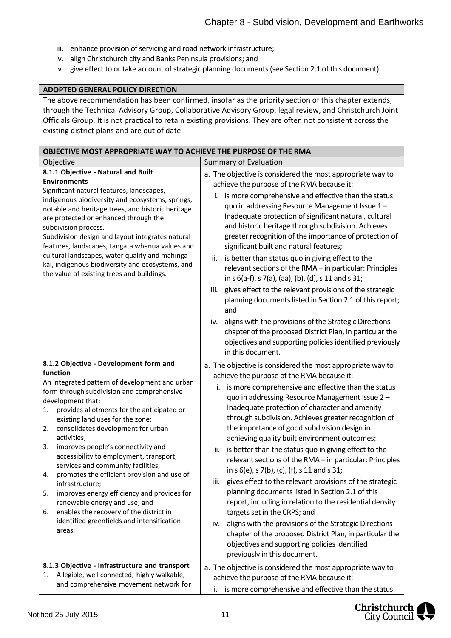- iii. enhance provision of servicing and road network infrastructure;
- iv. align Christchurch city and Banks Peninsula provisions; and
- v. give effect to or take account of strategic planning documents (see Section 2.1 of this document).

### **ADOPTED GENERAL POLICY DIRECTION**

The above recommendation has been confirmed, insofar as the priority section of this chapter extends, through the Technical Advisory Group, Collaborative Advisory Group, legal review, and Christchurch Joint Officials Group. It is not practical to retain existing provisions. They are often not consistent across the existing district plans and are out of date.

| OBJECTIVE MOST APPROPRIATE WAY TO ACHIEVE THE PURPOSE OF THE RMA                                                                                                                                                                                                                                                                                                                                                                                                                                                                                                                                                                                                                                                               |                                                                                                                                                                                                                                                                                                                                                                                                                                                                                                                                                                                                                                                                                                                                                                                                                                                                                                                                                                                                                                                  |  |  |  |
|--------------------------------------------------------------------------------------------------------------------------------------------------------------------------------------------------------------------------------------------------------------------------------------------------------------------------------------------------------------------------------------------------------------------------------------------------------------------------------------------------------------------------------------------------------------------------------------------------------------------------------------------------------------------------------------------------------------------------------|--------------------------------------------------------------------------------------------------------------------------------------------------------------------------------------------------------------------------------------------------------------------------------------------------------------------------------------------------------------------------------------------------------------------------------------------------------------------------------------------------------------------------------------------------------------------------------------------------------------------------------------------------------------------------------------------------------------------------------------------------------------------------------------------------------------------------------------------------------------------------------------------------------------------------------------------------------------------------------------------------------------------------------------------------|--|--|--|
| Objective                                                                                                                                                                                                                                                                                                                                                                                                                                                                                                                                                                                                                                                                                                                      | Summary of Evaluation                                                                                                                                                                                                                                                                                                                                                                                                                                                                                                                                                                                                                                                                                                                                                                                                                                                                                                                                                                                                                            |  |  |  |
| 8.1.1 Objective - Natural and Built<br><b>Environments</b><br>Significant natural features, landscapes,<br>indigenous biodiversity and ecosystems, springs,<br>notable and heritage trees, and historic heritage<br>are protected or enhanced through the<br>subdivision process.<br>Subdivision design and layout integrates natural<br>features, landscapes, tangata whenua values and<br>cultural landscapes, water quality and mahinga<br>kai, indigenous biodiversity and ecosystems, and<br>the value of existing trees and buildings.                                                                                                                                                                                   | a. The objective is considered the most appropriate way to<br>achieve the purpose of the RMA because it:<br>is more comprehensive and effective than the status<br>i.<br>quo in addressing Resource Management Issue 1-<br>Inadequate protection of significant natural, cultural<br>and historic heritage through subdivision. Achieves<br>greater recognition of the importance of protection of<br>significant built and natural features;<br>is better than status quo in giving effect to the<br>ii.<br>relevant sections of the RMA - in particular: Principles<br>in s 6(a-f), s 7(a), (aa), (b), (d), s 11 and s 31;<br>gives effect to the relevant provisions of the strategic<br>iii.<br>planning documents listed in Section 2.1 of this report;<br>and<br>aligns with the provisions of the Strategic Directions<br>iv.<br>chapter of the proposed District Plan, in particular the<br>objectives and supporting policies identified previously<br>in this document.                                                                |  |  |  |
| 8.1.2 Objective - Development form and<br>function<br>An integrated pattern of development and urban<br>form through subdivision and comprehensive<br>development that:<br>provides allotments for the anticipated or<br>1.<br>existing land uses for the zone;<br>consolidates development for urban<br>2.<br>activities;<br>improves people's connectivity and<br>3.<br>accessibility to employment, transport,<br>services and community facilities;<br>promotes the efficient provision and use of<br>4.<br>infrastructure;<br>5.<br>improves energy efficiency and provides for<br>renewable energy and use; and<br>enables the recovery of the district in<br>6.<br>identified greenfields and intensification<br>areas. | a. The objective is considered the most appropriate way to<br>achieve the purpose of the RMA because it:<br>is more comprehensive and effective than the status<br>i.<br>quo in addressing Resource Management Issue 2 -<br>Inadequate protection of character and amenity<br>through subdivision. Achieves greater recognition of<br>the importance of good subdivision design in<br>achieving quality built environment outcomes;<br>is better than the status quo in giving effect to the<br>ii.<br>relevant sections of the RMA - in particular: Principles<br>in s 6(e), s 7(b), (c), (f), s 11 and s 31;<br>gives effect to the relevant provisions of the strategic<br>iii.<br>planning documents listed in Section 2.1 of this<br>report, including in relation to the residential density<br>targets set in the CRPS; and<br>aligns with the provisions of the Strategic Directions<br>iv.<br>chapter of the proposed District Plan, in particular the<br>objectives and supporting policies identified<br>previously in this document. |  |  |  |
| 8.1.3 Objective - Infrastructure and transport<br>A legible, well connected, highly walkable,<br>1.<br>and comprehensive movement network for                                                                                                                                                                                                                                                                                                                                                                                                                                                                                                                                                                                  | a. The objective is considered the most appropriate way to<br>achieve the purpose of the RMA because it:<br>is more comprehensive and effective than the status<br>Ι.                                                                                                                                                                                                                                                                                                                                                                                                                                                                                                                                                                                                                                                                                                                                                                                                                                                                            |  |  |  |

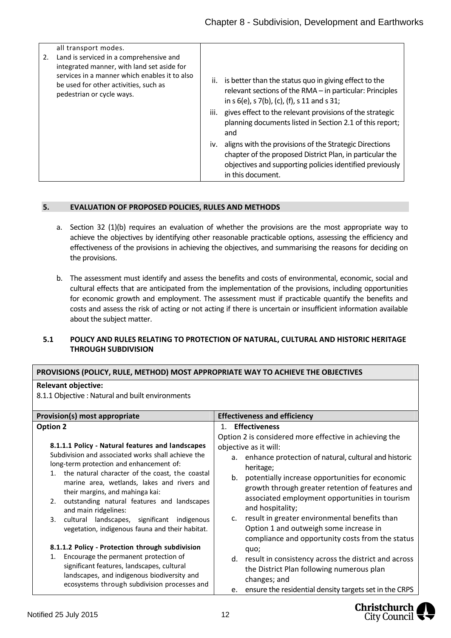| 2. | all transport modes.<br>Land is serviced in a comprehensive and<br>integrated manner, with land set aside for<br>services in a manner which enables it to also<br>be used for other activities, such as<br>pedestrian or cycle ways. | ii. is better than the status quo in giving effect to the<br>relevant sections of the RMA - in particular: Principles<br>in s 6(e), s 7(b), (c), (f), s 11 and s 31;<br>iii. gives effect to the relevant provisions of the strategic<br>planning documents listed in Section 2.1 of this report;<br>and |
|----|--------------------------------------------------------------------------------------------------------------------------------------------------------------------------------------------------------------------------------------|----------------------------------------------------------------------------------------------------------------------------------------------------------------------------------------------------------------------------------------------------------------------------------------------------------|
|    |                                                                                                                                                                                                                                      | iv. aligns with the provisions of the Strategic Directions<br>chapter of the proposed District Plan, in particular the<br>objectives and supporting policies identified previously<br>in this document.                                                                                                  |

#### <span id="page-12-0"></span>**5. EVALUATION OF PROPOSED POLICIES, RULES AND METHODS**

- a. Section 32 (1)(b) requires an evaluation of whether the provisions are the most appropriate way to achieve the objectives by identifying other reasonable practicable options, assessing the efficiency and effectiveness of the provisions in achieving the objectives, and summarising the reasons for deciding on the provisions.
- b. The assessment must identify and assess the benefits and costs of environmental, economic, social and cultural effects that are anticipated from the implementation of the provisions, including opportunities for economic growth and employment. The assessment must if practicable quantify the benefits and costs and assess the risk of acting or not acting if there is uncertain or insufficient information available about the subject matter.

#### **5.1 POLICY AND RULES RELATING TO PROTECTION OF NATURAL, CULTURAL AND HISTORIC HERITAGE THROUGH SUBDIVISION**

#### **PROVISIONS (POLICY, RULE, METHOD) MOST APPROPRIATE WAY TO ACHIEVE THE OBJECTIVES**

#### **Relevant objective:**

8.1.1 Objective : Natural and built environments

| Provision(s) most appropriate<br><b>Option 2</b><br>8.1.1.1 Policy - Natural features and landscapes<br>Subdivision and associated works shall achieve the<br>long-term protection and enhancement of:<br>the natural character of the coast, the coastal<br>1.<br>marine area, wetlands, lakes and rivers and<br>their margins, and mahinga kai:<br>outstanding natural features and landscapes<br>2. | <b>Effectiveness and efficiency</b><br><b>Effectiveness</b><br>$1_{-}$<br>Option 2 is considered more effective in achieving the<br>objective as it will:<br>a. enhance protection of natural, cultural and historic<br>heritage;<br>potentially increase opportunities for economic<br>b.<br>growth through greater retention of features and<br>associated employment opportunities in tourism<br>and hospitality; |
|--------------------------------------------------------------------------------------------------------------------------------------------------------------------------------------------------------------------------------------------------------------------------------------------------------------------------------------------------------------------------------------------------------|----------------------------------------------------------------------------------------------------------------------------------------------------------------------------------------------------------------------------------------------------------------------------------------------------------------------------------------------------------------------------------------------------------------------|
| and main ridgelines:<br>3.<br>cultural landscapes, significant indigenous<br>vegetation, indigenous fauna and their habitat.                                                                                                                                                                                                                                                                           | result in greater environmental benefits than<br>C.<br>Option 1 and outweigh some increase in<br>compliance and opportunity costs from the status                                                                                                                                                                                                                                                                    |
| 8.1.1.2 Policy - Protection through subdivision                                                                                                                                                                                                                                                                                                                                                        | quo;                                                                                                                                                                                                                                                                                                                                                                                                                 |
| Encourage the permanent protection of<br>1.<br>significant features, landscapes, cultural<br>landscapes, and indigenous biodiversity and<br>ecosystems through subdivision processes and                                                                                                                                                                                                               | d. result in consistency across the district and across<br>the District Plan following numerous plan<br>changes; and<br>ensure the residential density targets set in the CRPS<br>e.                                                                                                                                                                                                                                 |

Christchurch City Council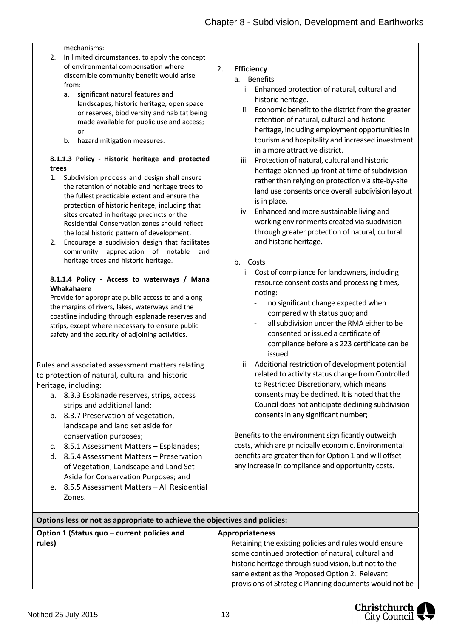#### mechanisms:

- 2. In limited circumstances, to apply the concept of environmental compensation where discernible community benefit would arise from:
	- a. significant natural features and landscapes, historic heritage, open space or reserves, biodiversity and habitat being made available for public use and access; or
	- b. hazard mitigation measures.

#### **8.1.1.3 Policy ‐ Historic heritage and protected trees**

- 1. Subdivision process and design shall ensure the retention of notable and heritage trees to the fullest practicable extent and ensure the protection of historic heritage, including that sites created in heritage precincts or the Residential Conservation zones should reflect the local historic pattern of development.
- 2. Encourage a subdivision design that facilitates community appreciation of notable and heritage trees and historic heritage.

#### **8.1.1.4 Policy ‐ Access to waterways / Mana Whakahaere**

Provide for appropriate public access to and along the margins of rivers, lakes, waterways and the coastline including through esplanade reserves and strips, except where necessary to ensure public safety and the security of adjoining activities.

Rules and associated assessment matters relating to protection of natural, cultural and historic heritage, including:

- a. 8.3.3 Esplanade reserves, strips, access strips and additional land;
- b. 8.3.7 Preservation of vegetation, landscape and land set aside for conservation purposes;
- c. 8.5.1 Assessment Matters Esplanades;
- d. 8.5.4 Assessment Matters Preservation of Vegetation, Landscape and Land Set Aside for Conservation Purposes; and
- e. 8.5.5 Assessment Matters All Residential Zones.

### 2. **Efficiency**

- a. Benefits
	- i. Enhanced protection of natural, cultural and historic heritage.
	- ii. Economic benefit to the district from the greater retention of natural, cultural and historic heritage, including employment opportunities in tourism and hospitality and increased investment in a more attractive district.
	- iii. Protection of natural, cultural and historic heritage planned up front at time of subdivision rather than relying on protection via site-by-site land use consents once overall subdivision layout is in place.
	- iv. Enhanced and more sustainable living and working environments created via subdivision through greater protection of natural, cultural and historic heritage.
- b. Costs
	- i. Cost of compliance for landowners, including resource consent costs and processing times, noting:
		- no significant change expected when compared with status quo; and
		- all subdivision under the RMA either to be consented or issued a certificate of compliance before a s 223 certificate can be issued.
	- ii. Additional restriction of development potential related to activity status change from Controlled to Restricted Discretionary, which means consents may be declined. It is noted that the Council does not anticipate declining subdivision consents in any significant number;

Benefits to the environment significantly outweigh costs, which are principally economic. Environmental benefits are greater than for Option 1 and will offset any increase in compliance and opportunity costs.

| Options less or not as appropriate to achieve the objectives and policies: |                                                                                                                                                                                                                                                                                    |  |  |  |
|----------------------------------------------------------------------------|------------------------------------------------------------------------------------------------------------------------------------------------------------------------------------------------------------------------------------------------------------------------------------|--|--|--|
| Option 1 (Status quo - current policies and<br><b>Appropriateness</b>      |                                                                                                                                                                                                                                                                                    |  |  |  |
| rules)                                                                     | Retaining the existing policies and rules would ensure<br>some continued protection of natural, cultural and<br>historic heritage through subdivision, but not to the<br>same extent as the Proposed Option 2. Relevant<br>provisions of Strategic Planning documents would not be |  |  |  |

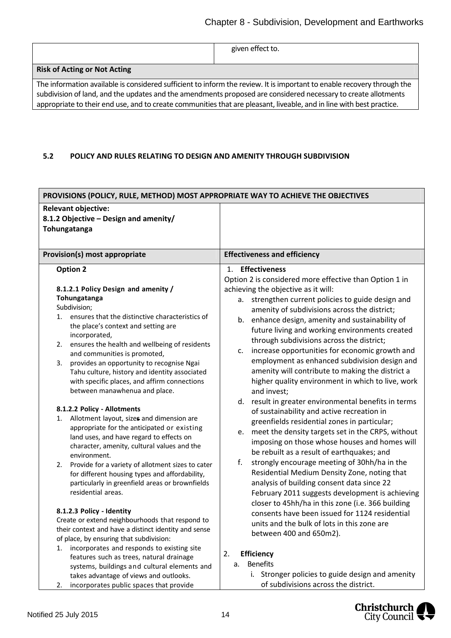|  | given effect to. |
|--|------------------|
|--|------------------|

#### **Risk of Acting or Not Acting**

The information available is considered sufficient to inform the review. It is important to enable recovery through the subdivision of land, and the updates and the amendments proposed are considered necessary to create allotments appropriate to their end use, and to create communities that are pleasant, liveable, and in line with best practice.

### **5.2 POLICY AND RULES RELATING TO DESIGN AND AMENITY THROUGH SUBDIVISION**

| PROVISIONS (POLICY, RULE, METHOD) MOST APPROPRIATE WAY TO ACHIEVE THE OBJECTIVES                                                                                                                                                                                                                                                                                                                                                                                                                                                                                       |                                                                                                                                                                                                                                                                                                                                                                                                                                                                                                                                                                                                                                                                                                         |  |  |  |
|------------------------------------------------------------------------------------------------------------------------------------------------------------------------------------------------------------------------------------------------------------------------------------------------------------------------------------------------------------------------------------------------------------------------------------------------------------------------------------------------------------------------------------------------------------------------|---------------------------------------------------------------------------------------------------------------------------------------------------------------------------------------------------------------------------------------------------------------------------------------------------------------------------------------------------------------------------------------------------------------------------------------------------------------------------------------------------------------------------------------------------------------------------------------------------------------------------------------------------------------------------------------------------------|--|--|--|
| <b>Relevant objective:</b><br>8.1.2 Objective - Design and amenity/<br>Tohungatanga                                                                                                                                                                                                                                                                                                                                                                                                                                                                                    |                                                                                                                                                                                                                                                                                                                                                                                                                                                                                                                                                                                                                                                                                                         |  |  |  |
| <b>Provision(s) most appropriate</b>                                                                                                                                                                                                                                                                                                                                                                                                                                                                                                                                   | <b>Effectiveness and efficiency</b>                                                                                                                                                                                                                                                                                                                                                                                                                                                                                                                                                                                                                                                                     |  |  |  |
| <b>Option 2</b><br>8.1.2.1 Policy Design and amenity /<br>Tohungatanga<br>Subdivision;<br>1. ensures that the distinctive characteristics of<br>the place's context and setting are<br>incorporated,<br>ensures the health and wellbeing of residents<br>2.<br>and communities is promoted,<br>provides an opportunity to recognise Ngai<br>3.<br>Tahu culture, history and identity associated<br>with specific places, and affirm connections<br>between manawhenua and place.                                                                                       | 1. Effectiveness<br>Option 2 is considered more effective than Option 1 in<br>achieving the objective as it will:<br>strengthen current policies to guide design and<br>а.<br>amenity of subdivisions across the district;<br>b. enhance design, amenity and sustainability of<br>future living and working environments created<br>through subdivisions across the district;<br>increase opportunities for economic growth and<br>c.<br>employment as enhanced subdivision design and<br>amenity will contribute to making the district a<br>higher quality environment in which to live, work<br>and invest;                                                                                          |  |  |  |
| 8.1.2.2 Policy - Allotments<br>Allotment layout, sizes and dimension are<br>1.<br>appropriate for the anticipated or existing<br>land uses, and have regard to effects on<br>character, amenity, cultural values and the<br>environment.<br>Provide for a variety of allotment sizes to cater<br>2.<br>for different housing types and affordability,<br>particularly in greenfield areas or brownfields<br>residential areas.<br>8.1.2.3 Policy - Identity<br>Create or extend neighbourhoods that respond to<br>their context and have a distinct identity and sense | result in greater environmental benefits in terms<br>d.<br>of sustainability and active recreation in<br>greenfields residential zones in particular;<br>meet the density targets set in the CRPS, without<br>e.<br>imposing on those whose houses and homes will<br>be rebuilt as a result of earthquakes; and<br>f.<br>strongly encourage meeting of 30hh/ha in the<br>Residential Medium Density Zone, noting that<br>analysis of building consent data since 22<br>February 2011 suggests development is achieving<br>closer to 45hh/ha in this zone (i.e. 366 building<br>consents have been issued for 1124 residential<br>units and the bulk of lots in this zone are<br>between 400 and 650m2). |  |  |  |
| of place, by ensuring that subdivision:<br>1. incorporates and responds to existing site<br>features such as trees, natural drainage<br>systems, buildings and cultural elements and<br>takes advantage of views and outlooks.<br>incorporates public spaces that provide<br>2.                                                                                                                                                                                                                                                                                        | 2.<br>Efficiency<br><b>Benefits</b><br>a.<br>i. Stronger policies to guide design and amenity<br>of subdivisions across the district.                                                                                                                                                                                                                                                                                                                                                                                                                                                                                                                                                                   |  |  |  |

2. incorporates public spaces that provide

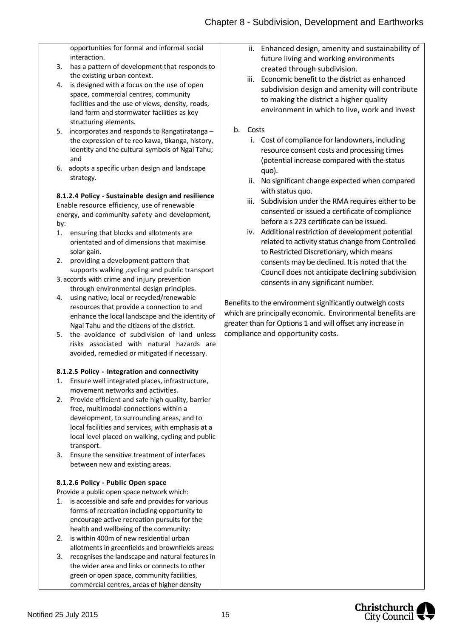opportunities for formal and informal social interaction.

- 3. has a pattern of development that responds to the existing urban context.
- 4. is designed with a focus on the use of open space, commercial centres, community facilities and the use of views, density, roads, land form and stormwater facilities as key structuring elements.
- 5. incorporates and responds to Rangatiratanga the expression of te reo kawa, tikanga, history, identity and the cultural symbols of Ngai Tahu; and
- 6. adopts a specific urban design and landscape strategy.

## **8.1.2.4 Policy ‐ Sustainable design and resilience**

Enable resource efficiency, use of renewable energy, and community safety and development, by:

- 1. ensuring that blocks and allotments are orientated and of dimensions that maximise solar gain.
- 2. providing a development pattern that supports walking ,cycling and public transport
- 3. accords with crime and injury prevention through environmental design principles.
- 4. using native, local or recycled/renewable resources that provide a connection to and enhance the local landscape and the identity of Ngai Tahu and the citizens of the district.
- 5. the avoidance of subdivision of land unless risks associated with natural hazards are avoided, remedied or mitigated if necessary.

#### **8.1.2.5 Policy ‐ Integration and connectivity**

- 1. Ensure well integrated places, infrastructure, movement networks and activities.
- 2. Provide efficient and safe high quality, barrier free, multimodal connections within a development, to surrounding areas, and to local facilities and services, with emphasis at a local level placed on walking, cycling and public transport.
- 3. Ensure the sensitive treatment of interfaces between new and existing areas.

#### **8.1.2.6 Policy ‐ Public Open space**

Provide a public open space network which:

- 1. is accessible and safe and provides for various forms of recreation including opportunity to encourage active recreation pursuits for the health and wellbeing of the community:
- 2. is within 400m of new residential urban allotments in greenfields and brownfields areas:
- 3. recognises the landscape and natural features in the wider area and links or connects to other green or open space, community facilities, commercial centres, areas of higher density
- ii. Enhanced design, amenity and sustainability of future living and working environments created through subdivision.
- iii. Economic benefit to the district as enhanced subdivision design and amenity will contribute to making the district a higher quality environment in which to live, work and invest

#### b. Costs

- i. Cost of compliance for landowners, including resource consent costs and processing times (potential increase compared with the status quo).
- ii. No significant change expected when compared with status quo.
- iii. Subdivision under the RMA requires either to be consented or issued a certificate of compliance before a s 223 certificate can be issued.
- iv. Additional restriction of development potential related to activity status change from Controlled to Restricted Discretionary, which means consents may be declined. It is noted that the Council does not anticipate declining subdivision consents in any significant number.

Benefits to the environment significantly outweigh costs which are principally economic. Environmental benefits are greater than for Options 1 and will offset any increase in compliance and opportunity costs.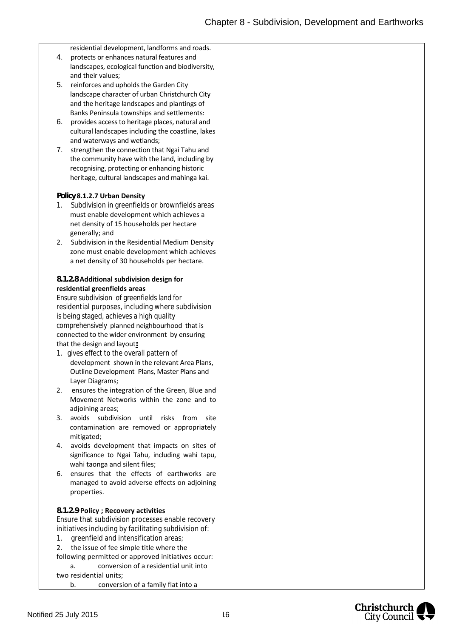residential development, landforms and roads.

- 4. protects or enhances natural features and landscapes, ecological function and biodiversity, and their values;
- 5. reinforces and upholds the Garden City landscape character of urban Christchurch City and the heritage landscapes and plantings of Banks Peninsula townships and settlements:
- 6. provides access to heritage places, natural and cultural landscapes including the coastline, lakes and waterways and wetlands;
- 7. strengthen the connection that Ngai Tahu and the community have with the land, including by recognising, protecting or enhancing historic heritage, cultural landscapes and mahinga kai.

#### **Policy 8.1.2.7 Urban Density**

- 1. Subdivision in greenfields or brownfields areas must enable development which achieves a net density of 15 households per hectare generally; and
- 2. Subdivision in the Residential Medium Density zone must enable development which achieves a net density of 30 households per hectare.

#### **8.1.2.8 Additional subdivision design for residential greenfields areas**

Ensure subdivision of greenfields land for residential purposes, including where subdivision is being staged, achieves a high quality comprehensively planned neighbourhood that is connected to the wider environment by ensuring that the design and layout**:**

- Layer Diagrams;1. gives effect to the overall pattern of development shown in the relevant Area Plans, Outline Development Plans, Master Plans and
- 2. ensures the integration of the Green, Blue and Movement Networks within the zone and to adjoining areas;
- 3. avoids subdivision until risks from site contamination are removed or appropriately mitigated;
- 4. avoids development that impacts on sites of significance to Ngai Tahu, including wahi tapu, wahi taonga and silent files;
- 6. ensures that the effects of earthworks are managed to avoid adverse effects on adjoining properties.

#### **8.1.2.9 Policy ; Recovery activities**

Ensure that subdivision processes enable recovery initiatives including by facilitating subdivision of:

- 1. greenfield and intensification areas;
- 2. the issue of fee simple title where the
- following permitted or approved initiatives occur: a. conversion of a residential unit into

two residential units;

b. conversion of a family flat into a

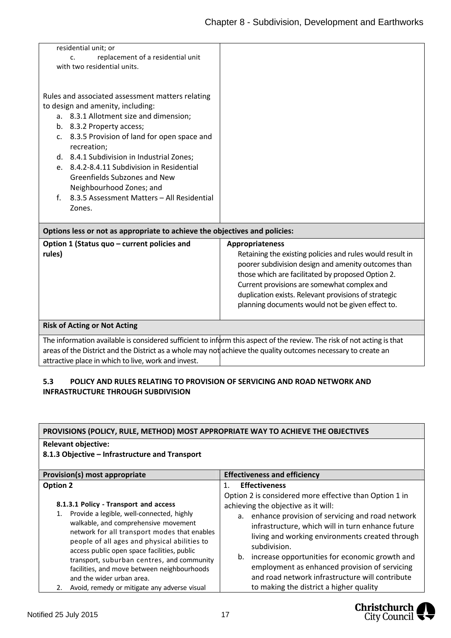| residential unit; or                                                                                          |                                                                                                                        |
|---------------------------------------------------------------------------------------------------------------|------------------------------------------------------------------------------------------------------------------------|
| replacement of a residential unit<br>c.                                                                       |                                                                                                                        |
| with two residential units.                                                                                   |                                                                                                                        |
|                                                                                                               |                                                                                                                        |
|                                                                                                               |                                                                                                                        |
| Rules and associated assessment matters relating                                                              |                                                                                                                        |
| to design and amenity, including:                                                                             |                                                                                                                        |
| a. 8.3.1 Allotment size and dimension;                                                                        |                                                                                                                        |
| b. 8.3.2 Property access;                                                                                     |                                                                                                                        |
| 8.3.5 Provision of land for open space and<br>c.                                                              |                                                                                                                        |
| recreation;                                                                                                   |                                                                                                                        |
| d. 8.4.1 Subdivision in Industrial Zones;                                                                     |                                                                                                                        |
| 8.4.2-8.4.11 Subdivision in Residential<br>$e_{-}$                                                            |                                                                                                                        |
| Greenfields Subzones and New                                                                                  |                                                                                                                        |
| Neighbourhood Zones; and                                                                                      |                                                                                                                        |
| 8.3.5 Assessment Matters - All Residential<br>$f_{\cdot}$                                                     |                                                                                                                        |
|                                                                                                               |                                                                                                                        |
| Zones.                                                                                                        |                                                                                                                        |
|                                                                                                               |                                                                                                                        |
| Options less or not as appropriate to achieve the objectives and policies:                                    |                                                                                                                        |
| Option 1 (Status quo - current policies and                                                                   | Appropriateness                                                                                                        |
| rules)                                                                                                        | Retaining the existing policies and rules would result in                                                              |
|                                                                                                               | poorer subdivision design and amenity outcomes than                                                                    |
|                                                                                                               | those which are facilitated by proposed Option 2.                                                                      |
|                                                                                                               | Current provisions are somewhat complex and                                                                            |
|                                                                                                               | duplication exists. Relevant provisions of strategic                                                                   |
|                                                                                                               | planning documents would not be given effect to.                                                                       |
|                                                                                                               |                                                                                                                        |
| <b>Risk of Acting or Not Acting</b>                                                                           |                                                                                                                        |
|                                                                                                               |                                                                                                                        |
|                                                                                                               | The information available is considered sufficient to inform this aspect of the review. The risk of not acting is that |
| areas of the District and the District as a whole may not achieve the quality outcomes necessary to create an |                                                                                                                        |
| attractive place in which to live, work and invest.                                                           |                                                                                                                        |

## **5.3 POLICY AND RULES RELATING TO PROVISION OF SERVICING AND ROAD NETWORK AND INFRASTRUCTURE THROUGH SUBDIVISION**

| PROVISIONS (POLICY, RULE, METHOD) MOST APPROPRIATE WAY TO ACHIEVE THE OBJECTIVES                                                                                                                                                                                                                                                                                                                                                                                             |                                                                                                                                                                                                                                                                                                                                                                                                                                                                                                                              |  |  |  |
|------------------------------------------------------------------------------------------------------------------------------------------------------------------------------------------------------------------------------------------------------------------------------------------------------------------------------------------------------------------------------------------------------------------------------------------------------------------------------|------------------------------------------------------------------------------------------------------------------------------------------------------------------------------------------------------------------------------------------------------------------------------------------------------------------------------------------------------------------------------------------------------------------------------------------------------------------------------------------------------------------------------|--|--|--|
| <b>Relevant objective:</b>                                                                                                                                                                                                                                                                                                                                                                                                                                                   |                                                                                                                                                                                                                                                                                                                                                                                                                                                                                                                              |  |  |  |
| 8.1.3 Objective - Infrastructure and Transport                                                                                                                                                                                                                                                                                                                                                                                                                               |                                                                                                                                                                                                                                                                                                                                                                                                                                                                                                                              |  |  |  |
| Provision(s) most appropriate                                                                                                                                                                                                                                                                                                                                                                                                                                                | <b>Effectiveness and efficiency</b>                                                                                                                                                                                                                                                                                                                                                                                                                                                                                          |  |  |  |
| <b>Option 2</b><br>8.1.3.1 Policy - Transport and access<br>Provide a legible, well-connected, highly<br>walkable, and comprehensive movement<br>network for all transport modes that enables<br>people of all ages and physical abilities to<br>access public open space facilities, public<br>transport, suburban centres, and community<br>facilities, and move between neighbourhoods<br>and the wider urban area.<br>Avoid, remedy or mitigate any adverse visual<br>2. | <b>Effectiveness</b><br>$\mathbf{1}$ .<br>Option 2 is considered more effective than Option 1 in<br>achieving the objective as it will:<br>a. enhance provision of servicing and road network<br>infrastructure, which will in turn enhance future<br>living and working environments created through<br>subdivision.<br>increase opportunities for economic growth and<br>b.<br>employment as enhanced provision of servicing<br>and road network infrastructure will contribute<br>to making the district a higher quality |  |  |  |

Christchurch<br>City Council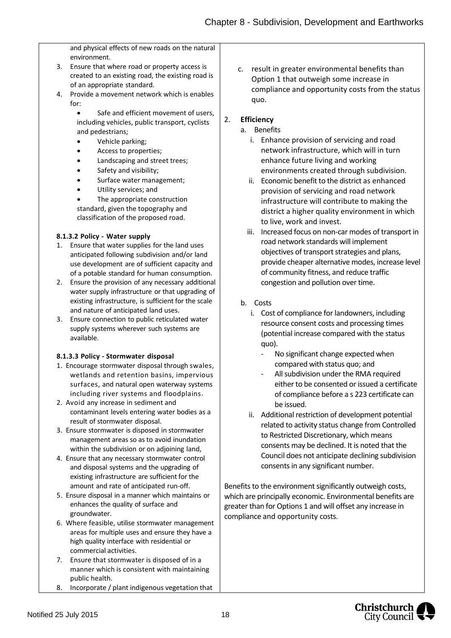and physical effects of new roads on the natural environment.

- 3. Ensure that where road or property access is created to an existing road, the existing road is of an appropriate standard.
- 4. Provide a movement network which is enables for:

 Safe and efficient movement of users, including vehicles, public transport, cyclists and pedestrians;

- Vehicle parking;
- Access to properties;
- Landscaping and street trees;
- Safety and visibility;
- Surface water management;
- Utility services; and
- The appropriate construction standard, given the topography and classification of the proposed road.

#### **8.1.3.2 Policy ‐ Water supply**

- 1. Ensure that water supplies for the land uses anticipated following subdivision and/or land use development are of sufficient capacity and of a potable standard for human consumption.
- 2. Ensure the provision of any necessary additional water supply infrastructure or that upgrading of existing infrastructure, is sufficient for the scale and nature of anticipated land uses.
- 3. Ensure connection to public reticulated water supply systems wherever such systems are available.

#### **8.1.3.3 Policy ‐ Stormwater disposal**

- 1. Encourage stormwater disposal through swales, wetlands and retention basins, impervious surfaces, and natural open waterway systems including river systems and floodplains.
- 2. Avoid any increase in sediment and contaminant levels entering water bodies as a result of stormwater disposal.
- 3. Ensure stormwater is disposed in stormwater management areas so as to avoid inundation within the subdivision or on adjoining land,
- 4. Ensure that any necessary stormwater control and disposal systems and the upgrading of existing infrastructure are sufficient for the amount and rate of anticipated run-off.
- 5. Ensure disposal in a manner which maintains or enhances the quality of surface and groundwater.
- 6. Where feasible, utilise stormwater management areas for multiple uses and ensure they have a high quality interface with residential or commercial activities.
- 7. Ensure that stormwater is disposed of in a manner which is consistent with maintaining public health.
- 8. Incorporate / plant indigenous vegetation that

c. result in greater environmental benefits than Option 1 that outweigh some increase in compliance and opportunity costs from the status quo.

## 2. **Efficiency**

- a. Benefits
	- i. Enhance provision of servicing and road network infrastructure, which will in turn enhance future living and working environments created through subdivision.
	- ii. Economic benefit to the district as enhanced provision of servicing and road network infrastructure will contribute to making the district a higher quality environment in which to live, work and invest.
	- iii. Increased focus on non-car modes of transport in road network standards will implement objectives of transport strategies and plans, provide cheaper alternative modes, increase level of community fitness, and reduce traffic congestion and pollution over time.
- b. Costs
	- i. Cost of compliance for landowners, including resource consent costs and processing times (potential increase compared with the status quo).
		- No significant change expected when compared with status quo; and
		- All subdivision under the RMA required either to be consented or issued a certificate of compliance before a s 223 certificate can be issued.
	- ii. Additional restriction of development potential related to activity status change from Controlled to Restricted Discretionary, which means consents may be declined. It is noted that the Council does not anticipate declining subdivision consents in any significant number.

Benefits to the environment significantly outweigh costs, which are principally economic. Environmental benefits are greater than for Options 1 and will offset any increase in compliance and opportunity costs.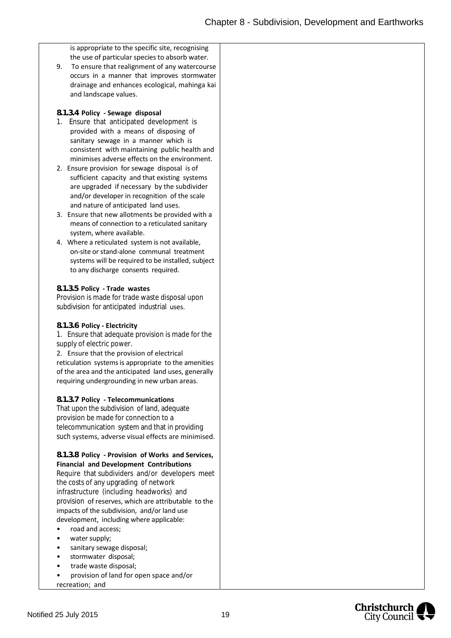is appropriate to the specific site, recognising the use of particular species to absorb water.

9. To ensure that realignment of any watercourse occurs in a manner that improves stormwater drainage and enhances ecological, mahinga kai and landscape values.

#### **8.1.3.4 Policy ‐ Sewage disposal**

- 1. Ensure that anticipated development is provided with a means of disposing of sanitary sewage in a manner which is consistent with maintaining public health and minimises adverse effects on the environment.
- 2. Ensure provision for sewage disposal is of sufficient capacity and that existing systems are upgraded if necessary by the subdivider and/or developer in recognition of the scale and nature of anticipated land uses.
- 3. Ensure that new allotments be provided with a means of connection to a reticulated sanitary system, where available.
- 4. Where a reticulated system is not available, on-site or stand-alone communal treatment systems will be required to be installed, subject to any discharge consents required.

#### **8.1.3.5 Policy ‐ Trade wastes**

Provision is made for trade waste disposal upon subdivision for anticipated industrial uses.

#### **8.1.3.6 Policy ‐ Electricity**

1. Ensure that adequate provision is made for the supply of electric power.

2. Ensure that the provision of electrical reticulation systems is appropriate to the amenities of the area and the anticipated land uses, generally requiring undergrounding in new urban areas.

#### **8.1.3.7 Policy ‐ Telecommunications**

That upon the subdivision of land, adequate provision be made for connection to a telecommunication system and that in providing such systems, adverse visual effects are minimised.

#### **8.1.3.8 Policy ‐ Provision of Works and Services, Financial and Development Contributions**

Require that subdividers and/or developers meet the costs of any upgrading of network infrastructure (including headworks) and provision of reserves, which are attributable to the impacts of the subdivision, and/or land use development, including where applicable:

- road and access;
- water supply;
- sanitary sewage disposal;
- stormwater disposal;
- trade waste disposal;
- provision of land for open space and/or

recreation; and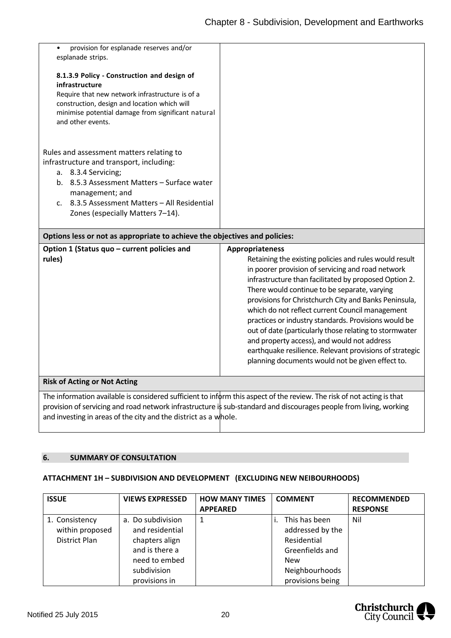| provision for esplanade reserves and/or                                    |  |
|----------------------------------------------------------------------------|--|
| esplanade strips.                                                          |  |
|                                                                            |  |
| 8.1.3.9 Policy - Construction and design of                                |  |
| infrastructure                                                             |  |
| Require that new network infrastructure is of a                            |  |
| construction, design and location which will                               |  |
| minimise potential damage from significant natural                         |  |
| and other events.                                                          |  |
|                                                                            |  |
|                                                                            |  |
| Rules and assessment matters relating to                                   |  |
| infrastructure and transport, including:                                   |  |
| a. 8.3.4 Servicing;                                                        |  |
| 8.5.3 Assessment Matters - Surface water<br>$b_{1}$                        |  |
|                                                                            |  |
| management; and                                                            |  |
| c. 8.3.5 Assessment Matters – All Residential                              |  |
| Zones (especially Matters 7-14).                                           |  |
|                                                                            |  |
| Options less or not as appropriate to achieve the objectives and policies: |  |

| Option 1 (Status quo - current policies and<br>rules)           | Appropriateness<br>Retaining the existing policies and rules would result<br>in poorer provision of servicing and road network<br>infrastructure than facilitated by proposed Option 2.<br>There would continue to be separate, varying<br>provisions for Christchurch City and Banks Peninsula,<br>which do not reflect current Council management<br>practices or industry standards. Provisions would be<br>out of date (particularly those relating to stormwater<br>and property access), and would not address<br>earthquake resilience. Relevant provisions of strategic<br>planning documents would not be given effect to. |
|-----------------------------------------------------------------|-------------------------------------------------------------------------------------------------------------------------------------------------------------------------------------------------------------------------------------------------------------------------------------------------------------------------------------------------------------------------------------------------------------------------------------------------------------------------------------------------------------------------------------------------------------------------------------------------------------------------------------|
| <b>Risk of Acting or Not Acting</b>                             |                                                                                                                                                                                                                                                                                                                                                                                                                                                                                                                                                                                                                                     |
| and investing in areas of the city and the district as a whole. | The information available is considered sufficient to inform this aspect of the review. The risk of not acting is that<br>provision of servicing and road network infrastructure is sub-standard and discourages people from living, working                                                                                                                                                                                                                                                                                                                                                                                        |

#### <span id="page-20-0"></span>**6. SUMMARY OF CONSULTATION**

#### **ATTACHMENT 1H – SUBDIVISION AND DEVELOPMENT (EXCLUDING NEW NEIBOURHOODS)**

| <b>ISSUE</b>                                       | <b>VIEWS EXPRESSED</b>                                                                                                    | <b>HOW MANY TIMES</b><br><b>APPEARED</b> | <b>COMMENT</b>                                                                                                          | <b>RECOMMENDED</b><br><b>RESPONSE</b> |
|----------------------------------------------------|---------------------------------------------------------------------------------------------------------------------------|------------------------------------------|-------------------------------------------------------------------------------------------------------------------------|---------------------------------------|
| 1. Consistency<br>within proposed<br>District Plan | a. Do subdivision<br>and residential<br>chapters align<br>and is there a<br>need to embed<br>subdivision<br>provisions in | 1                                        | This has been<br>addressed by the<br>Residential<br>Greenfields and<br><b>New</b><br>Neighbourhoods<br>provisions being | Nil                                   |

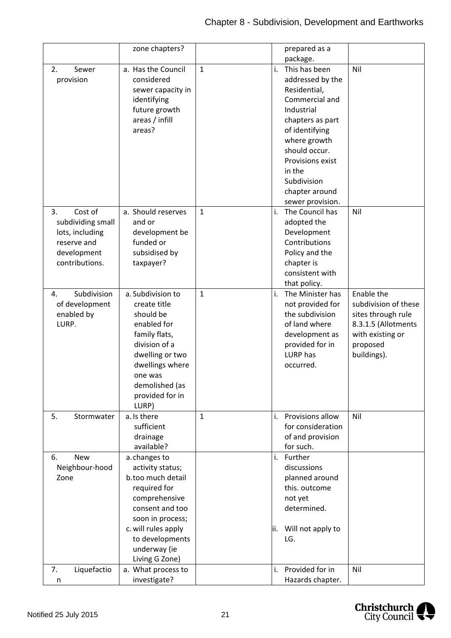|                                                                                                       | zone chapters?                                                                                                                                                                                            |              | prepared as a                                                                                                                                                                                                                                                                  |
|-------------------------------------------------------------------------------------------------------|-----------------------------------------------------------------------------------------------------------------------------------------------------------------------------------------------------------|--------------|--------------------------------------------------------------------------------------------------------------------------------------------------------------------------------------------------------------------------------------------------------------------------------|
|                                                                                                       |                                                                                                                                                                                                           |              | package.                                                                                                                                                                                                                                                                       |
| Sewer<br>2.<br>provision                                                                              | a. Has the Council<br>considered<br>sewer capacity in<br>identifying<br>future growth<br>areas / infill<br>areas?                                                                                         | $\mathbf{1}$ | This has been<br>i.<br>Nil<br>addressed by the<br>Residential,<br>Commercial and<br>Industrial<br>chapters as part<br>of identifying<br>where growth<br>should occur.<br>Provisions exist<br>in the<br>Subdivision<br>chapter around<br>sewer provision.                       |
| Cost of<br>3.<br>subdividing small<br>lots, including<br>reserve and<br>development<br>contributions. | a. Should reserves<br>and or<br>development be<br>funded or<br>subsidised by<br>taxpayer?                                                                                                                 | $\mathbf{1}$ | The Council has<br>i.<br>Nil<br>adopted the<br>Development<br>Contributions<br>Policy and the<br>chapter is<br>consistent with<br>that policy.                                                                                                                                 |
| Subdivision<br>4.<br>of development<br>enabled by<br>LURP.                                            | a. Subdivision to<br>create title<br>should be<br>enabled for<br>family flats,<br>division of a<br>dwelling or two<br>dwellings where<br>one was<br>demolished (as<br>provided for in<br>LURP)            | $\mathbf{1}$ | Enable the<br>i.<br>The Minister has<br>not provided for<br>subdivision of these<br>the subdivision<br>sites through rule<br>of land where<br>8.3.1.5 (Allotments<br>development as<br>with existing or<br>provided for in<br>proposed<br>LURP has<br>buildings).<br>occurred. |
| 5.<br>Stormwater                                                                                      | a. Is there<br>sufficient<br>drainage<br>available?                                                                                                                                                       | $\mathbf{1}$ | i. Provisions allow<br>Nil<br>for consideration<br>of and provision<br>for such.                                                                                                                                                                                               |
| <b>New</b><br>6.<br>Neighbour-hood<br>Zone                                                            | a.changes to<br>activity status;<br>b.too much detail<br>required for<br>comprehensive<br>consent and too<br>soon in process;<br>c. will rules apply<br>to developments<br>underway (ie<br>Living G Zone) |              | Further<br>i.<br>discussions<br>planned around<br>this. outcome<br>not yet<br>determined.<br>ii. Will not apply to<br>LG.                                                                                                                                                      |
| Liquefactio<br>7.<br>n                                                                                | a. What process to<br>investigate?                                                                                                                                                                        |              | Provided for in<br>Nil<br>i.<br>Hazards chapter.                                                                                                                                                                                                                               |

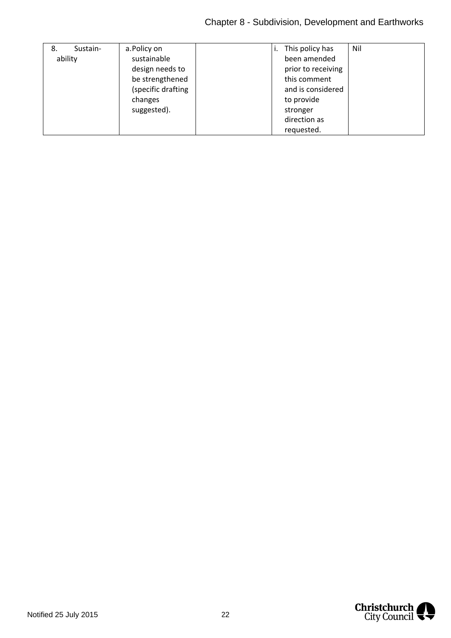| Sustain-<br>8. | a.Policy on        |  | ı.                | This policy has    | Nil |
|----------------|--------------------|--|-------------------|--------------------|-----|
| ability        | sustainable        |  |                   | been amended       |     |
|                | design needs to    |  |                   | prior to receiving |     |
|                | be strengthened    |  | this comment      |                    |     |
|                | (specific drafting |  | and is considered |                    |     |
|                | changes            |  |                   | to provide         |     |
|                | suggested).        |  |                   | stronger           |     |
|                |                    |  |                   | direction as       |     |
|                |                    |  |                   | requested.         |     |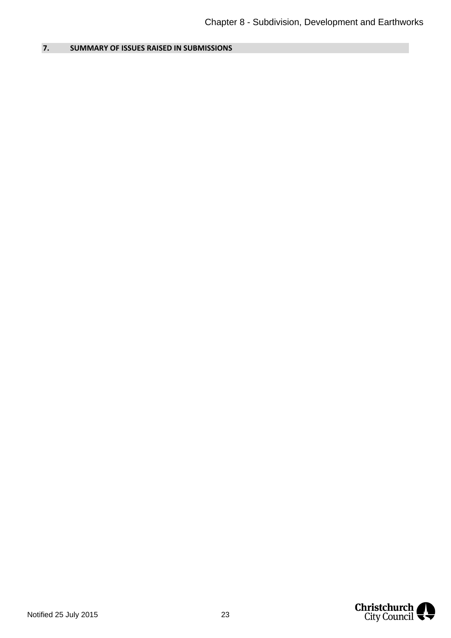## <span id="page-23-0"></span>**7. SUMMARY OF ISSUES RAISED IN SUBMISSIONS**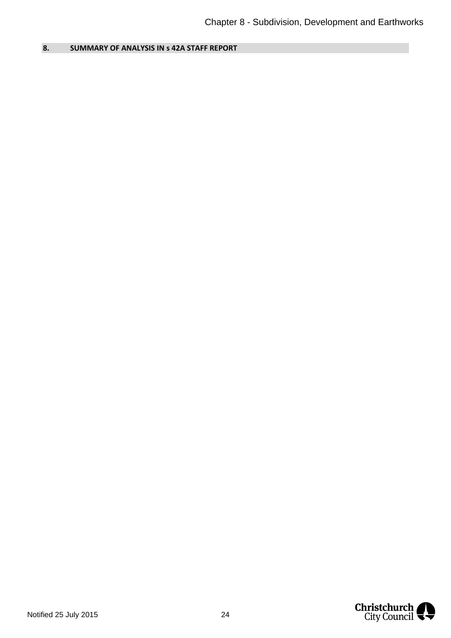<span id="page-24-0"></span>**8. SUMMARY OF ANALYSIS IN s 42A STAFF REPORT** 

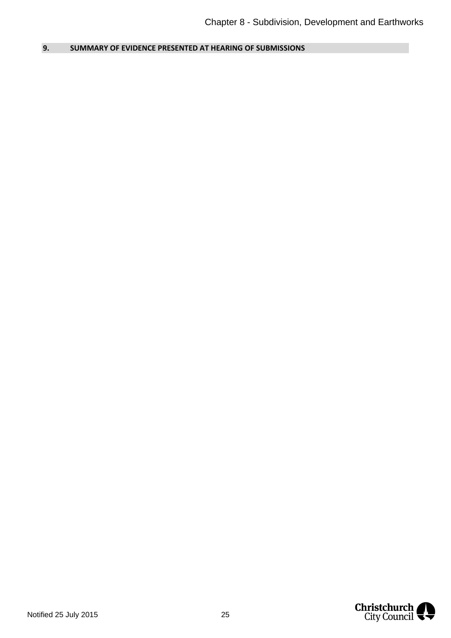<span id="page-25-0"></span>**9. SUMMARY OF EVIDENCE PRESENTED AT HEARING OF SUBMISSIONS** 

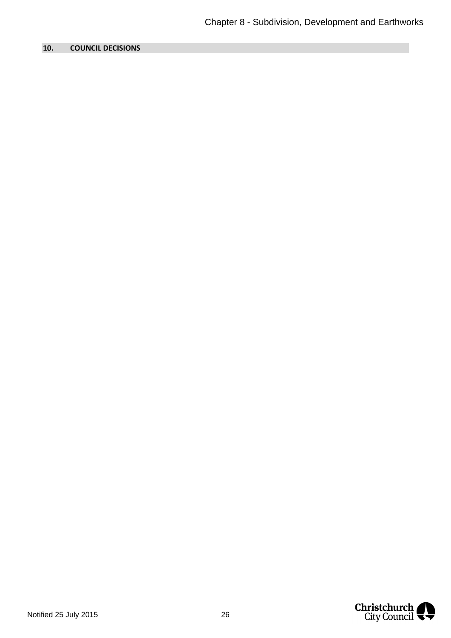## <span id="page-26-0"></span>**10. COUNCIL DECISIONS**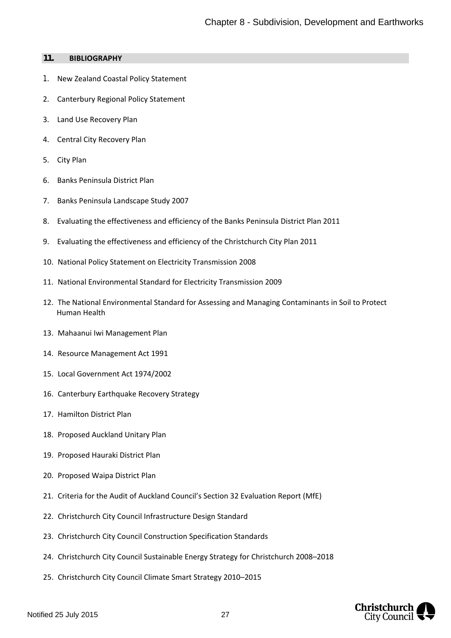#### **11. BIBLIOGRAPHY**

- 1. New Zealand Coastal Policy Statement
- 2. Canterbury Regional Policy Statement
- 3. Land Use Recovery Plan
- 4. Central City Recovery Plan
- 5. City Plan
- 6. Banks Peninsula District Plan
- 7. Banks Peninsula Landscape Study 2007
- 8. Evaluating the effectiveness and efficiency of the Banks Peninsula District Plan 2011
- 9. Evaluating the effectiveness and efficiency of the Christchurch City Plan 2011
- 10. National Policy Statement on Electricity Transmission 2008
- 11. National Environmental Standard for Electricity Transmission 2009
- 12. The National Environmental Standard for Assessing and Managing Contaminants in Soil to Protect Human Health
- 13. Mahaanui Iwi Management Plan
- 14. Resource Management Act 1991
- 15. Local Government Act 1974/2002
- 16. Canterbury Earthquake Recovery Strategy
- 17. Hamilton District Plan
- 18. Proposed Auckland Unitary Plan
- 19. Proposed Hauraki District Plan
- 20. Proposed Waipa District Plan
- 21. Criteria for the Audit of Auckland Council's Section 32 Evaluation Report (MfE)
- 22. Christchurch City Council Infrastructure Design Standard
- 23. Christchurch City Council Construction Specification Standards
- 24. Christchurch City Council Sustainable Energy Strategy for Christchurch 2008–2018
- 25. Christchurch City Council Climate Smart Strategy 2010–2015

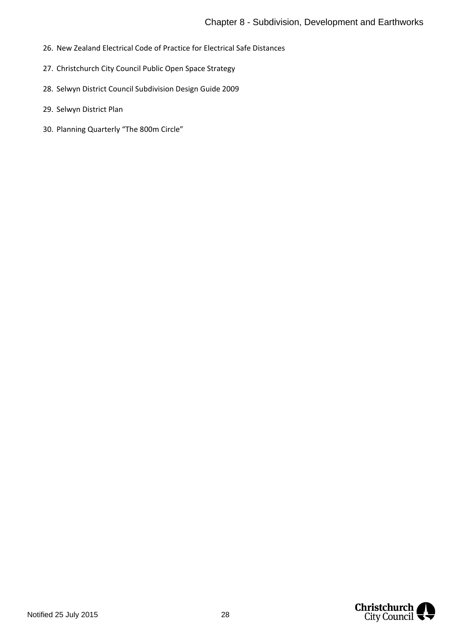- 26. New Zealand Electrical Code of Practice for Electrical Safe Distances
- 27. Christchurch City Council Public Open Space Strategy
- 28. Selwyn District Council Subdivision Design Guide 2009
- 29. Selwyn District Plan
- 30. Planning Quarterly "The 800m Circle"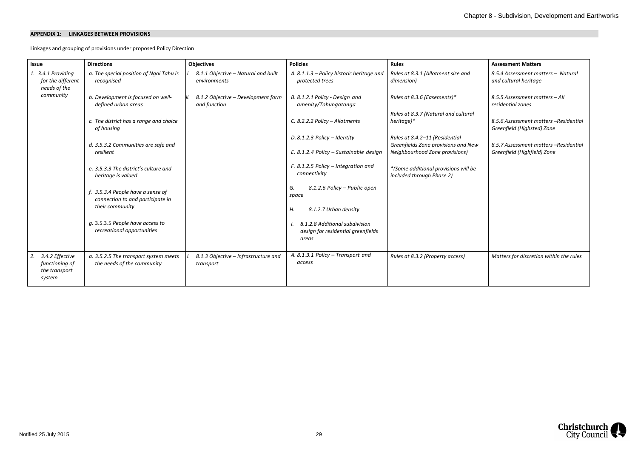#### **APPENDIX 1: LINKAGES BETWEEN PROVISIONS**

Linkages and grouping of provisions under proposed Policy Direction

| <b>Issue</b>                                                       | <b>Directions</b>                                                     | <b>Objectives</b>                                   | <b>Policies</b>                                                               | <b>Rules</b>                                                          | <b>Assessment Matters</b>                                           |
|--------------------------------------------------------------------|-----------------------------------------------------------------------|-----------------------------------------------------|-------------------------------------------------------------------------------|-----------------------------------------------------------------------|---------------------------------------------------------------------|
| 1. 3.4.1 Providing<br>for the different<br>needs of the            | a. The special position of Ngai Tahu is<br>recognised                 | 8.1.1 Objective - Natural and built<br>environments | A. 8.1.1.3 - Policy historic heritage and<br>protected trees                  | Rules at 8.3.1 (Allotment size and<br>dimension)                      | 8.5.4 Assessment matters - Natural<br>and cultural heritage         |
| community                                                          | b. Development is focused on well-<br>defined urban areas             | 8.1.2 Objective - Development form<br>and function  | B. 8.1.2.1 Policy - Design and<br>amenity/Tohungatanga                        | Rules at 8.3.6 (Easements)*                                           | 8.5.5 Assessment matters - All<br>residential zones                 |
|                                                                    | c. The district has a range and choice<br>of housing                  |                                                     | C. 8.2.2.2 Policy - Allotments                                                | Rules at 8.3.7 (Natural and cultural<br>heritage)*                    | 8.5.6 Assessment matters -Residential<br>Greenfield (Highsted) Zone |
|                                                                    | d. 3.5.3.2 Communities are safe and                                   |                                                     | D. 8.1.2.3 Policy - Identity                                                  | Rules at 8.4.2-11 (Residential<br>Greenfields Zone provisions and New | 8.5.7 Assessment matters -Residential                               |
|                                                                    | resilient                                                             |                                                     | E. 8.1.2.4 Policy - Sustainable design                                        | Neighbourhood Zone provisions)                                        | Greenfield (Highfield) Zone                                         |
|                                                                    | e. 3.5.3.3 The district's culture and<br>heritage is valued           |                                                     | F. 8.1.2.5 Policy - Integration and<br>connectivity                           | *(Some additional provisions will be<br>included through Phase 2)     |                                                                     |
|                                                                    | f. 3.5.3.4 People have a sense of<br>connection to and participate in |                                                     | 8.1.2.6 Policy - Public open<br>G.<br>space                                   |                                                                       |                                                                     |
|                                                                    | their community                                                       |                                                     | Н.<br>8.1.2.7 Urban density                                                   |                                                                       |                                                                     |
|                                                                    | g. 3.5.3.5 People have access to<br>recreational opportunities        |                                                     | 8.1.2.8 Additional subdivision<br>design for residential greenfields<br>areas |                                                                       |                                                                     |
| 3.4.2 Effective<br>2.<br>functioning of<br>the transport<br>system | a. 3.5.2.5 The transport system meets<br>the needs of the community   | 8.1.3 Objective - Infrastructure and<br>transport   | A. 8.1.3.1 Policy - Transport and<br>access                                   | Rules at 8.3.2 (Property access)                                      | Matters for discretion within the rules                             |

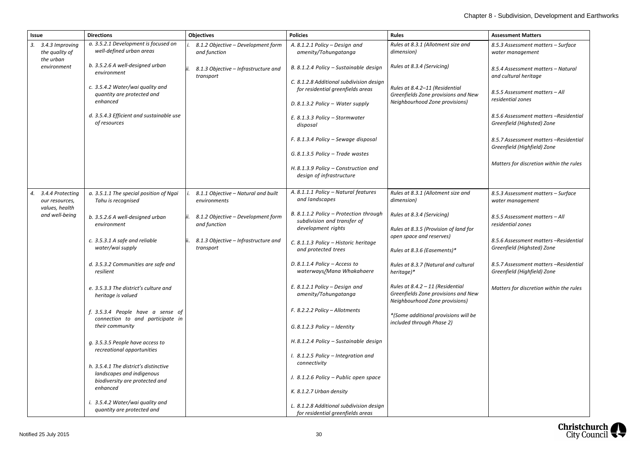| <b>Issue</b>                                         | <b>Directions</b>                                                                                    | <b>Objectives</b>                                   | <b>Policies</b>                                                                             | <b>Rules</b>                                                                                                | <b>Assessment Matters</b>                                            |
|------------------------------------------------------|------------------------------------------------------------------------------------------------------|-----------------------------------------------------|---------------------------------------------------------------------------------------------|-------------------------------------------------------------------------------------------------------------|----------------------------------------------------------------------|
| 3.4.3 Improving<br>3.<br>the quality of<br>the urban | a. 3.5.2.1 Development is focused on<br>well-defined urban areas                                     | 8.1.2 Objective - Development form<br>and function  | A. 8.1.2.1 Policy - Design and<br>amenity/Tohungatanga                                      | Rules at 8.3.1 (Allotment size and<br>dimension)                                                            | 8.5.3 Assessment matters - Surface<br>water management               |
| environment                                          | b. 3.5.2.6 A well-designed urban<br>environment                                                      | 8.1.3 Objective - Infrastructure and<br>transport   | B. 8.1.2.4 Policy - Sustainable design                                                      | Rules at 8.3.4 (Servicing)                                                                                  | 8.5.4 Assessment matters - Natural<br>and cultural heritage          |
|                                                      | c. 3.5.4.2 Water/wai quality and<br>quantity are protected and                                       |                                                     | C. 8.1.2.8 Additional subdivision design<br>for residential greenfields areas               | Rules at 8.4.2-11 (Residential<br>Greenfields Zone provisions and New<br>Neighbourhood Zone provisions)     | 8.5.5 Assessment matters - All<br>residential zones                  |
|                                                      | enhanced                                                                                             |                                                     | D. 8.1.3.2 Policy - Water supply                                                            |                                                                                                             |                                                                      |
|                                                      | d. 3.5.4.3 Efficient and sustainable use<br>of resources                                             |                                                     | E. 8.1.3.3 Policy - Stormwater<br>disposal                                                  |                                                                                                             | 8.5.6 Assessment matters -Residential<br>Greenfield (Highsted) Zone  |
|                                                      |                                                                                                      |                                                     | F. 8.1.3.4 Policy - Sewage disposal                                                         |                                                                                                             | 8.5.7 Assessment matters -Residential<br>Greenfield (Highfield) Zone |
|                                                      |                                                                                                      |                                                     | $G. 8.1.3.5$ Policy – Trade wastes                                                          |                                                                                                             |                                                                      |
|                                                      |                                                                                                      |                                                     | H. 8.1.3.9 Policy - Construction and<br>design of infrastructure                            |                                                                                                             | Matters for discretion within the rules                              |
| 3.4.4 Protecting<br>our resources,<br>values, health | a. 3.5.1.1 The special position of Ngai<br>Tahu is recognised                                        | 8.1.1 Objective - Natural and built<br>environments | A. 8.1.1.1 Policy - Natural features<br>and landscapes                                      | Rules at 8.3.1 (Allotment size and<br>dimension)                                                            | 8.5.3 Assessment matters - Surface<br>water management               |
| and well-being                                       | b. 3.5.2.6 A well-designed urban<br>environment                                                      | 8.1.2 Objective - Development form<br>and function  | B. 8.1.1.2 Policy - Protection through<br>subdivision and transfer of                       | Rules at 8.3.4 (Servicing)                                                                                  | 8.5.5 Assessment matters - All<br>residential zones                  |
|                                                      |                                                                                                      |                                                     | development rights                                                                          | Rules at 8.3.5 (Provision of land for<br>open space and reserves)                                           |                                                                      |
|                                                      | c. 3.5.3.1 A safe and reliable<br>water/wai supply                                                   | 8.1.3 Objective - Infrastructure and<br>transport   | C. 8.1.1.3 Policy - Historic heritage<br>and protected trees<br>Rules at 8.3.6 (Easements)* |                                                                                                             | 8.5.6 Assessment matters -Residential<br>Greenfield (Highsted) Zone  |
|                                                      |                                                                                                      |                                                     |                                                                                             |                                                                                                             |                                                                      |
|                                                      | d. 3.5.3.2 Communities are safe and<br>resilient                                                     |                                                     | D. 8.1.1.4 Policy $-$ Access to<br>waterways/Mana Whakahaere                                | Rules at 8.3.7 (Natural and cultural<br>heritage)*                                                          | 8.5.7 Assessment matters -Residential<br>Greenfield (Highfield) Zone |
|                                                      | e. 3.5.3.3 The district's culture and<br>heritage is valued                                          |                                                     | E. 8.1.2.1 Policy - Design and<br>amenity/Tohungatanga                                      | Rules at $8.4.2 - 11$ (Residential<br>Greenfields Zone provisions and New<br>Neighbourhood Zone provisions) | Matters for discretion within the rules                              |
|                                                      | f. 3.5.3.4 People have a sense of<br>connection to and participate in                                |                                                     | F. 8.2.2.2 Policy - Allotments                                                              | *(Some additional provisions will be<br>included through Phase 2)                                           |                                                                      |
|                                                      | their community                                                                                      |                                                     | $G. 8.1.2.3$ Policy - Identity                                                              |                                                                                                             |                                                                      |
|                                                      | g. 3.5.3.5 People have access to<br>recreational opportunities                                       |                                                     | H. 8.1.2.4 Policy - Sustainable design                                                      |                                                                                                             |                                                                      |
|                                                      |                                                                                                      |                                                     | I. 8.1.2.5 Policy - Integration and<br>connectivity                                         |                                                                                                             |                                                                      |
|                                                      | h. 3.5.4.1 The district's distinctive<br>landscapes and indigenous<br>biodiversity are protected and |                                                     | J. 8.1.2.6 Policy – Public open space                                                       |                                                                                                             |                                                                      |
|                                                      | enhanced                                                                                             |                                                     | K. 8.1.2.7 Urban density                                                                    |                                                                                                             |                                                                      |
|                                                      | i. 3.5.4.2 Water/wai quality and<br>quantity are protected and                                       |                                                     | L. 8.1.2.8 Additional subdivision design<br>for residential greenfields areas               |                                                                                                             |                                                                      |